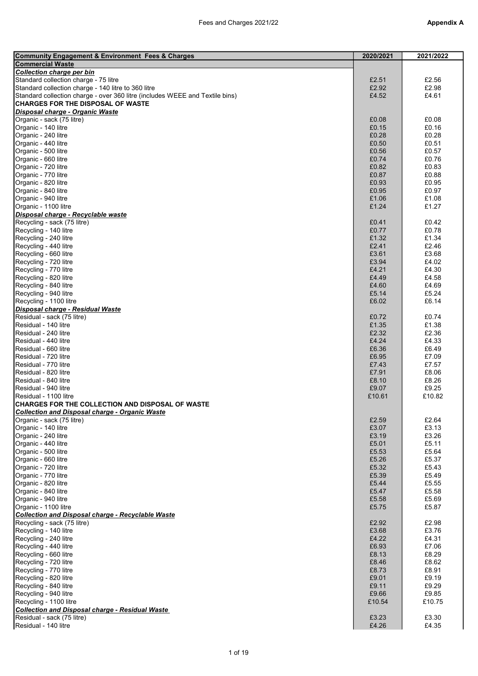| <b>Community Engagement &amp; Environment Fees &amp; Charges</b>             | 2020/2021 | 2021/2022 |
|------------------------------------------------------------------------------|-----------|-----------|
| <b>Commercial Waste</b>                                                      |           |           |
| Collection charge per bin                                                    |           |           |
| Standard collection charge - 75 litre                                        | £2.51     | £2.56     |
| Standard collection charge - 140 litre to 360 litre                          | £2.92     | £2.98     |
| Standard collection charge - over 360 litre (includes WEEE and Textile bins) | £4.52     | £4.61     |
| <b>CHARGES FOR THE DISPOSAL OF WASTE</b>                                     |           |           |
| Disposal charge - Organic Waste                                              |           |           |
| Organic - sack (75 litre)                                                    | £0.08     | £0.08     |
| Organic - 140 litre                                                          | £0.15     | £0.16     |
| Organic - 240 litre                                                          | £0.28     | £0.28     |
|                                                                              |           |           |
| Organic - 440 litre                                                          | £0.50     | £0.51     |
| Organic - 500 litre                                                          | £0.56     | £0.57     |
| Organic - 660 litre                                                          | £0.74     | £0.76     |
| Organic - 720 litre                                                          | £0.82     | £0.83     |
| Organic - 770 litre                                                          | £0.87     | £0.88     |
| Organic - 820 litre                                                          | £0.93     | £0.95     |
| Organic - 840 litre                                                          | £0.95     | £0.97     |
| Organic - 940 litre                                                          | £1.06     | £1.08     |
| Organic - 1100 litre                                                         | £1.24     | £1.27     |
| Disposal charge - Recyclable waste                                           |           |           |
| Recycling - sack (75 litre)                                                  | £0.41     | £0.42     |
| Recycling - 140 litre                                                        | £0.77     | £0.78     |
| Recycling - 240 litre                                                        | £1.32     | £1.34     |
|                                                                              |           |           |
| Recycling - 440 litre                                                        | £2.41     | £2.46     |
| Recycling - 660 litre                                                        | £3.61     | £3.68     |
| Recycling - 720 litre                                                        | £3.94     | £4.02     |
| Recycling - 770 litre                                                        | £4.21     | £4.30     |
| Recycling - 820 litre                                                        | £4.49     | £4.58     |
| Recycling - 840 litre                                                        | £4.60     | £4.69     |
| Recycling - 940 litre                                                        | £5.14     | £5.24     |
| Recycling - 1100 litre                                                       | £6.02     | £6.14     |
|                                                                              |           |           |
| Disposal charge - Residual Waste                                             |           |           |
| Residual - sack (75 litre)                                                   | £0.72     | £0.74     |
| Residual - 140 litre                                                         | £1.35     | £1.38     |
| Residual - 240 litre                                                         | £2.32     | £2.36     |
| Residual - 440 litre                                                         | £4.24     | £4.33     |
| Residual - 660 litre                                                         | £6.36     | £6.49     |
| Residual - 720 litre                                                         | £6.95     | £7.09     |
| Residual - 770 litre                                                         | £7.43     | £7.57     |
| Residual - 820 litre                                                         | £7.91     | £8.06     |
| Residual - 840 litre                                                         | £8.10     | £8.26     |
|                                                                              |           |           |
| Residual - 940 litre                                                         | £9.07     | £9.25     |
| Residual - 1100 litre                                                        | £10.61    | £10.82    |
| CHARGES FOR THE COLLECTION AND DISPOSAL OF WASTE                             |           |           |
| <b>Collection and Disposal charge - Organic Waste</b>                        |           |           |
| Organic - sack (75 litre)                                                    | £2.59     | £2.64     |
| Organic - 140 litre                                                          | £3.07     | £3.13     |
| Organic - 240 litre                                                          | £3.19     | £3.26     |
| Organic - 440 litre                                                          | £5.01     | £5.11     |
| Organic - 500 litre                                                          | £5.53     | £5.64     |
| Organic - 660 litre                                                          | £5.26     | £5.37     |
| Organic - 720 litre                                                          | £5.32     | £5.43     |
| Organic - 770 litre                                                          | £5.39     | £5.49     |
|                                                                              |           |           |
| Organic - 820 litre                                                          | £5.44     | £5.55     |
| Organic - 840 litre                                                          | £5.47     | £5.58     |
| Organic - 940 litre                                                          | £5.58     | £5.69     |
| Organic - 1100 litre                                                         | £5.75     | £5.87     |
| <b>Collection and Disposal charge - Recyclable Waste</b>                     |           |           |
| Recycling - sack (75 litre)                                                  | £2.92     | £2.98     |
| Recycling - 140 litre                                                        | £3.68     | £3.76     |
| Recycling - 240 litre                                                        | £4.22     | £4.31     |
| Recycling - 440 litre                                                        | £6.93     | £7.06     |
| Recycling - 660 litre                                                        | £8.13     | £8.29     |
|                                                                              |           |           |
| Recycling - 720 litre                                                        | £8.46     | £8.62     |
| Recycling - 770 litre                                                        | £8.73     | £8.91     |
| Recycling - 820 litre                                                        | £9.01     | £9.19     |
| Recycling - 840 litre                                                        | £9.11     | £9.29     |
| Recycling - 940 litre                                                        | £9.66     | £9.85     |
| Recycling - 1100 litre                                                       | £10.54    | £10.75    |
| <b>Collection and Disposal charge - Residual Waste</b>                       |           |           |
| Residual - sack (75 litre)                                                   | £3.23     | £3.30     |
| Residual - 140 litre                                                         | £4.26     | £4.35     |
|                                                                              |           |           |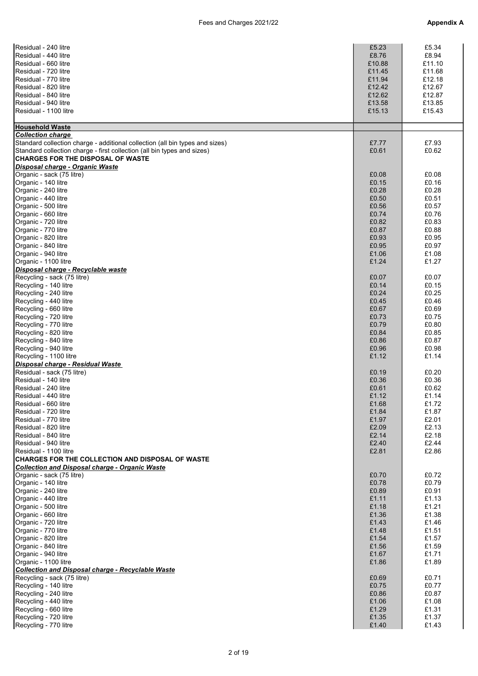| Residual - 240 litre                                                         | £5.23  | £5.34  |
|------------------------------------------------------------------------------|--------|--------|
|                                                                              |        |        |
| Residual - 440 litre                                                         | £8.76  | £8.94  |
| Residual - 660 litre                                                         | £10.88 | £11.10 |
| Residual - 720 litre                                                         |        | £11.68 |
|                                                                              | £11.45 |        |
| Residual - 770 litre                                                         | £11.94 | £12.18 |
| Residual - 820 litre                                                         | £12.42 | £12.67 |
| Residual - 840 litre                                                         |        |        |
|                                                                              | £12.62 | £12.87 |
| Residual - 940 litre                                                         | £13.58 | £13.85 |
| Residual - 1100 litre                                                        | £15.13 | £15.43 |
|                                                                              |        |        |
|                                                                              |        |        |
| <b>Household Waste</b>                                                       |        |        |
| <b>Collection charge</b>                                                     |        |        |
|                                                                              |        |        |
| Standard collection charge - additional collection (all bin types and sizes) | £7.77  | £7.93  |
| Standard collection charge - first collection (all bin types and sizes)      | £0.61  | £0.62  |
| <b>CHARGES FOR THE DISPOSAL OF WASTE</b>                                     |        |        |
|                                                                              |        |        |
| Disposal charge - Organic Waste                                              |        |        |
| Organic - sack (75 litre)                                                    | £0.08  | £0.08  |
| Organic - 140 litre                                                          | £0.15  | £0.16  |
|                                                                              |        |        |
| Organic - 240 litre                                                          | £0.28  | £0.28  |
| Organic - 440 litre                                                          | £0.50  | £0.51  |
| Organic - 500 litre                                                          | £0.56  | £0.57  |
| Organic - 660 litre                                                          | £0.74  | £0.76  |
|                                                                              |        |        |
| Organic - 720 litre                                                          | £0.82  | £0.83  |
| Organic - 770 litre                                                          | £0.87  | £0.88  |
|                                                                              |        |        |
| Organic - 820 litre                                                          | £0.93  | £0.95  |
| Organic - 840 litre                                                          | £0.95  | £0.97  |
| Organic - 940 litre                                                          | £1.06  | £1.08  |
| Organic - 1100 litre                                                         | £1.24  | £1.27  |
|                                                                              |        |        |
| Disposal charge - Recyclable waste                                           |        |        |
| Recycling - sack (75 litre)                                                  | £0.07  | £0.07  |
| Recycling - 140 litre                                                        | £0.14  | £0.15  |
|                                                                              |        |        |
| Recycling - 240 litre                                                        | £0.24  | £0.25  |
| Recycling - 440 litre                                                        | £0.45  | £0.46  |
| Recycling - 660 litre                                                        | £0.67  | £0.69  |
|                                                                              |        |        |
| Recycling - 720 litre                                                        | £0.73  | £0.75  |
| Recycling - 770 litre                                                        | £0.79  | £0.80  |
| Recycling - 820 litre                                                        | £0.84  | £0.85  |
|                                                                              |        |        |
| Recycling - 840 litre                                                        | £0.86  | £0.87  |
| Recycling - 940 litre                                                        | £0.96  | £0.98  |
| Recycling - 1100 litre                                                       | £1.12  | £1.14  |
|                                                                              |        |        |
| Disposal charge - Residual Waste                                             |        |        |
| Residual - sack (75 litre)                                                   | £0.19  | £0.20  |
| Residual - 140 litre                                                         | £0.36  | £0.36  |
|                                                                              |        |        |
| Residual - 240 litre                                                         | £0.61  | £0.62  |
| Residual - 440 litre                                                         | £1.12  | £1.14  |
| Residual - 660 litre                                                         | £1.68  | £1.72  |
|                                                                              |        |        |
| Residual - 720 litre                                                         | £1.84  | £1.87  |
| Residual - 770 litre                                                         | £1.97  | £2.01  |
| Residual - 820 litre                                                         | £2.09  | £2.13  |
|                                                                              |        |        |
| Residual - 840 litre                                                         | £2.14  | £2.18  |
| Residual - 940 litre                                                         | £2.40  | £2.44  |
| Residual - 1100 litre                                                        | £2.81  | £2.86  |
| <b>ICHARGES FOR THE COLLECTION AND DISPOSAL OF WASTE</b>                     |        |        |
|                                                                              |        |        |
| Collection and Disposal charge - Organic Waste                               |        |        |
| Organic - sack (75 litre)                                                    | £0.70  | £0.72  |
| Organic - 140 litre                                                          | £0.78  | £0.79  |
|                                                                              |        |        |
| Organic - 240 litre                                                          | £0.89  | £0.91  |
| Organic - 440 litre                                                          | £1.11  | £1.13  |
| Organic - 500 litre                                                          | £1.18  | £1.21  |
|                                                                              |        |        |
| Organic - 660 litre                                                          | £1.36  | £1.38  |
| Organic - 720 litre                                                          | £1.43  | £1.46  |
| Organic - 770 litre                                                          | £1.48  | £1.51  |
|                                                                              |        |        |
| Organic - 820 litre                                                          | £1.54  | £1.57  |
| Organic - 840 litre                                                          | £1.56  | £1.59  |
| Organic - 940 litre                                                          | £1.67  | £1.71  |
|                                                                              |        |        |
| Organic - 1100 litre                                                         | £1.86  | £1.89  |
| <b>Collection and Disposal charge - Recyclable Waste</b>                     |        |        |
| Recycling - sack (75 litre)                                                  | £0.69  | £0.71  |
|                                                                              |        |        |
| Recycling - 140 litre                                                        | £0.75  | £0.77  |
| Recycling - 240 litre                                                        | £0.86  | £0.87  |
| Recycling - 440 litre                                                        | £1.06  | £1.08  |
|                                                                              |        |        |
| Recycling - 660 litre                                                        | £1.29  | £1.31  |
| Recycling - 720 litre                                                        | £1.35  | £1.37  |
| Recycling - 770 litre                                                        | £1.40  | £1.43  |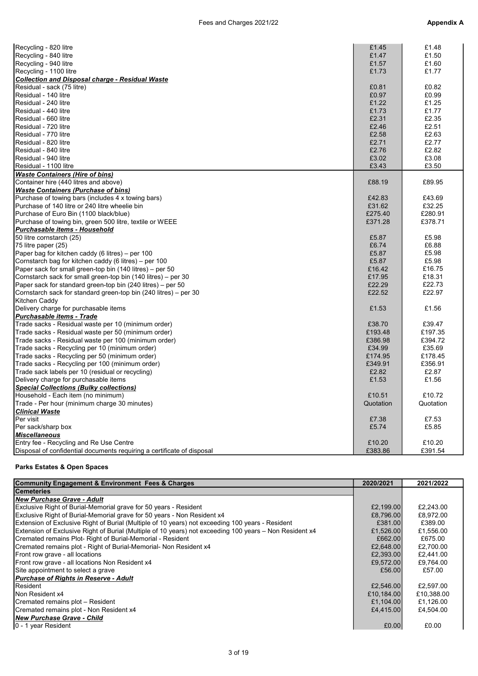| Recycling - 820 litre                                                  | £1.45     | £1.48     |
|------------------------------------------------------------------------|-----------|-----------|
| Recycling - 840 litre                                                  | £1.47     | £1.50     |
| Recycling - 940 litre                                                  | £1.57     | £1.60     |
| Recycling - 1100 litre                                                 | £1.73     | £1.77     |
| <b>Collection and Disposal charge - Residual Waste</b>                 |           |           |
| Residual - sack (75 litre)                                             | £0.81     | £0.82     |
| Residual - 140 litre                                                   | £0.97     | £0.99     |
| Residual - 240 litre                                                   | £1.22     | £1.25     |
| Residual - 440 litre                                                   | £1.73     | £1.77     |
| Residual - 660 litre                                                   | £2.31     | £2.35     |
| Residual - 720 litre                                                   | £2.46     | £2.51     |
| Residual - 770 litre                                                   | £2.58     | £2.63     |
| Residual - 820 litre                                                   | £2.71     | £2.77     |
| Residual - 840 litre                                                   | £2.76     | £2.82     |
| Residual - 940 litre                                                   | £3.02     | £3.08     |
| Residual - 1100 litre                                                  | £3.43     | £3.50     |
| <b>Waste Containers (Hire of bins)</b>                                 |           |           |
| Container hire (440 litres and above)                                  | £88.19    | £89.95    |
| <b>Waste Containers (Purchase of bins)</b>                             |           |           |
| Purchase of towing bars (includes 4 x towing bars)                     | £42.83    | £43.69    |
| Purchase of 140 litre or 240 litre wheelie bin                         | £31.62    | £32.25    |
| Purchase of Euro Bin (1100 black/blue)                                 | £275.40   | £280.91   |
| Purchase of towing bin, green 500 litre, textile or WEEE               | £371.28   | £378.71   |
| Purchasable items - Household                                          |           |           |
| 50 litre cornstarch (25)                                               | £5.87     | £5.98     |
| 75 litre paper (25)                                                    | £6.74     | £6.88     |
| Paper bag for kitchen caddy (6 litres) - per 100                       | £5.87     | £5.98     |
| Cornstarch bag for kitchen caddy (6 litres) – per 100                  | £5.87     | £5.98     |
| Paper sack for small green-top bin (140 litres) – per 50               | £16.42    | £16.75    |
| Cornstarch sack for small green-top bin (140 litres) – per 30          | £17.95    | £18.31    |
| Paper sack for standard green-top bin (240 litres) – per 50            | £22.29    | £22.73    |
| Cornstarch sack for standard green-top bin (240 litres) – per 30       | £22.52    | £22.97    |
| Kitchen Caddy                                                          |           |           |
| Delivery charge for purchasable items                                  | £1.53     | £1.56     |
| <b>Purchasable items - Trade</b>                                       |           |           |
| Trade sacks - Residual waste per 10 (minimum order)                    | £38.70    | £39.47    |
| Trade sacks - Residual waste per 50 (minimum order)                    | £193.48   | £197.35   |
| Trade sacks - Residual waste per 100 (minimum order)                   | £386.98   | £394.72   |
| Trade sacks - Recycling per 10 (minimum order)                         | £34.99    | £35.69    |
| Trade sacks - Recycling per 50 (minimum order)                         | £174.95   | £178.45   |
| Trade sacks - Recycling per 100 (minimum order)                        | £349.91   | £356.91   |
| Trade sack labels per 10 (residual or recycling)                       | £2.82     | £2.87     |
| Delivery charge for purchasable items                                  | £1.53     | £1.56     |
| <b>Special Collections (Bulky collections)</b>                         |           |           |
| Household - Each item (no minimum)                                     | £10.51    | £10.72    |
| Trade - Per hour (minimum charge 30 minutes)                           | Quotation | Quotation |
| <b>Clinical Waste</b>                                                  |           |           |
| Per visit                                                              | £7.38     | £7.53     |
| Per sack/sharp box                                                     | £5.74     | £5.85     |
| <b>Miscellaneous</b>                                                   |           |           |
| Entry fee - Recycling and Re Use Centre                                | £10.20    | £10.20    |
| Disposal of confidential documents requiring a certificate of disposal | £383.86   | £391.54   |

## Parks Estates & Open Spaces

| <b>Community Engagement &amp; Environment Fees &amp; Charges</b>                                        | 2020/2021  | 2021/2022  |
|---------------------------------------------------------------------------------------------------------|------------|------------|
| <b>Cemeteries</b>                                                                                       |            |            |
| <b>INew Purchase Grave - Adult</b>                                                                      |            |            |
| Exclusive Right of Burial-Memorial grave for 50 years - Resident                                        | £2,199.00  | £2.243.00  |
| Exclusive Right of Burial-Memorial grave for 50 years - Non Resident x4                                 | £8,796.00  | £8,972.00  |
| Extension of Exclusive Right of Burial (Multiple of 10 years) not exceeding 100 years - Resident        | £381.00    | £389.00    |
| Extension of Exclusive Right of Burial (Multiple of 10 years) not exceeding 100 years – Non Resident x4 | £1.526.00  | £1,556.00  |
| Cremated remains Plot- Right of Burial-Memorial - Resident                                              | £662.00    | £675.00    |
| Cremated remains plot - Right of Burial-Memorial- Non Resident x4                                       | £2,648.00  | £2,700.00  |
| Front row grave - all locations                                                                         | £2,393.00  | £2,441.00  |
| Front row grave - all locations Non Resident x4                                                         | £9,572.00  | £9,764.00  |
| Site appointment to select a grave                                                                      | £56.00     | £57.00     |
| <b>Purchase of Rights in Reserve - Adult</b>                                                            |            |            |
| Resident                                                                                                | £2,546.00  | £2,597.00  |
| Non Resident x4                                                                                         | £10,184.00 | £10,388.00 |
| Cremated remains plot - Resident                                                                        | £1,104.00  | £1,126.00  |
| Cremated remains plot - Non Resident x4                                                                 | £4.415.00  | £4.504.00  |
| New Purchase Grave - Child                                                                              |            |            |
| 10 - 1 year Resident                                                                                    | £0.00      | £0.00      |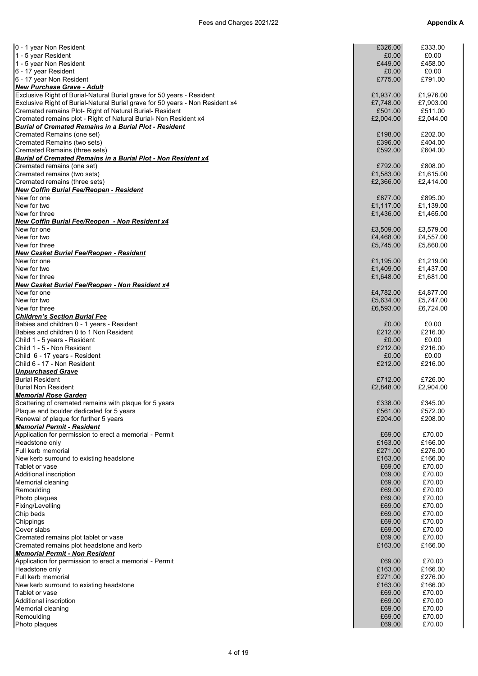| 0 - 1 year Non Resident                                                       | £326.00   | £333.00   |
|-------------------------------------------------------------------------------|-----------|-----------|
| 1 - 5 year Resident                                                           | £0.00     | £0.00     |
| 1 - 5 year Non Resident                                                       | £449.00   | £458.00   |
| 6 - 17 year Resident                                                          | £0.00     | £0.00     |
| 6 - 17 year Non Resident                                                      | £775.00   | £791.00   |
| New Purchase Grave - Adult                                                    |           |           |
| Exclusive Right of Burial-Natural Burial grave for 50 years - Resident        | £1,937.00 | £1,976.00 |
| Exclusive Right of Burial-Natural Burial grave for 50 years - Non Resident x4 | £7,748.00 | £7,903.00 |
|                                                                               |           |           |
| Cremated remains Plot- Right of Natural Burial- Resident                      | £501.00   | £511.00   |
| Cremated remains plot - Right of Natural Burial- Non Resident x4              | £2,004.00 | £2,044.00 |
| <b>Burial of Cremated Remains in a Burial Plot - Resident</b>                 |           |           |
| Cremated Remains (one set)                                                    | £198.00   | £202.00   |
| Cremated Remains (two sets)                                                   | £396.00   | £404.00   |
| Cremated Remains (three sets)                                                 | £592.00   | £604.00   |
| Burial of Cremated Remains in a Burial Plot - Non Resident x4                 |           |           |
| Cremated remains (one set)                                                    | £792.00   | £808.00   |
| Cremated remains (two sets)                                                   | £1,583.00 | £1,615.00 |
| Cremated remains (three sets)                                                 | £2,366.00 | £2,414.00 |
| New Coffin Burial Fee/Reopen - Resident                                       |           |           |
| New for one                                                                   |           |           |
|                                                                               | £877.00   | £895.00   |
| New for two                                                                   | £1,117.00 | £1,139.00 |
| New for three                                                                 | £1,436.00 | £1,465.00 |
| New Coffin Burial Fee/Reopen - Non Resident x4                                |           |           |
| New for one                                                                   | £3,509.00 | £3,579.00 |
| New for two                                                                   | £4,468.00 | £4,557.00 |
| New for three                                                                 | £5,745.00 | £5,860.00 |
| New Casket Burial Fee/Reopen - Resident                                       |           |           |
| New for one                                                                   | £1,195.00 | £1,219.00 |
| New for two                                                                   | £1,409.00 | £1,437.00 |
| New for three                                                                 | £1,648.00 | £1,681.00 |
| New Casket Burial Fee/Reopen - Non Resident x4                                |           |           |
| New for one                                                                   | £4,782.00 | £4,877.00 |
| New for two                                                                   | £5,634.00 | £5,747.00 |
|                                                                               |           |           |
| New for three                                                                 | £6,593.00 | £6,724.00 |
| <b>Children's Section Burial Fee</b>                                          |           |           |
| Babies and children 0 - 1 years - Resident                                    | £0.00     | £0.00     |
| Babies and children 0 to 1 Non Resident                                       | £212.00   | £216.00   |
| Child 1 - 5 years - Resident                                                  | £0.00     | £0.00     |
| Child 1 - 5 - Non Resident                                                    | £212.00   | £216.00   |
| Child 6 - 17 years - Resident                                                 | £0.00     | £0.00     |
| Child 6 - 17 - Non Resident                                                   | £212.00   | £216.00   |
| <b>Unpurchased Grave</b>                                                      |           |           |
| <b>Burial Resident</b>                                                        | £712.00   | £726.00   |
| <b>Burial Non Resident</b>                                                    | £2,848.00 | £2,904.00 |
| Memorial Rose Garden                                                          |           |           |
|                                                                               | £338.00   | £345.00   |
| Scattering of cremated remains with plaque for 5 years                        |           |           |
| Plaque and boulder dedicated for 5 years                                      | £561.00   | £572.00   |
| Renewal of plaque for further 5 years                                         | £204.00   | £208.00   |
| Memorial Permit - Resident                                                    |           |           |
| Application for permission to erect a memorial - Permit                       | £69.00    | £70.00    |
| Headstone only                                                                | £163.00   | £166.00   |
| Full kerb memorial                                                            | £271.00   | £276.00   |
| New kerb surround to existing headstone                                       | £163.00   | £166.00   |
| Tablet or vase                                                                | £69.00    | £70.00    |
| Additional inscription                                                        | £69.00    | £70.00    |
| Memorial cleaning                                                             | £69.00    | £70.00    |
| Remoulding                                                                    | £69.00    | £70.00    |
| Photo plaques                                                                 | £69.00    | £70.00    |
| Fixing/Levelling                                                              | £69.00    | £70.00    |
| Chip beds                                                                     | £69.00    | £70.00    |
| Chippings                                                                     | £69.00    | £70.00    |
|                                                                               |           |           |
| Cover slabs                                                                   | £69.00    | £70.00    |
| Cremated remains plot tablet or vase                                          | £69.00    | £70.00    |
| Cremated remains plot headstone and kerb                                      | £163.00   | £166.00   |
| Memorial Permit - Non Resident                                                |           |           |
| Application for permission to erect a memorial - Permit                       | £69.00    | £70.00    |
| Headstone only                                                                | £163.00   | £166.00   |
| Full kerb memorial                                                            | £271.00   | £276.00   |
| New kerb surround to existing headstone                                       | £163.00   | £166.00   |
| Tablet or vase                                                                | £69.00    | £70.00    |
| Additional inscription                                                        | £69.00    | £70.00    |
| Memorial cleaning                                                             | £69.00    | £70.00    |
| Remoulding                                                                    | £69.00    | £70.00    |
| Photo plaques                                                                 | £69.00    | £70.00    |
|                                                                               |           |           |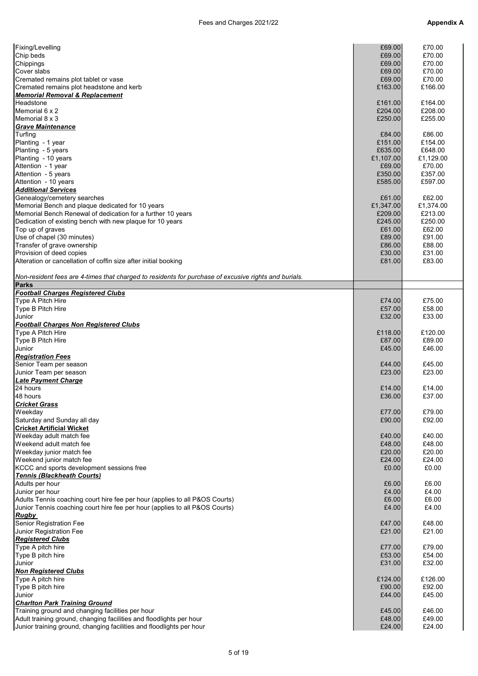| Fixing/Levelling                                                                                     | £69.00    | £70.00    |
|------------------------------------------------------------------------------------------------------|-----------|-----------|
| Chip beds                                                                                            | £69.00    | £70.00    |
| Chippings                                                                                            | £69.00    | £70.00    |
| Cover slabs                                                                                          | £69.00    | £70.00    |
| Cremated remains plot tablet or vase                                                                 | £69.00    | £70.00    |
| Cremated remains plot headstone and kerb                                                             | £163.00   | £166.00   |
| Memorial Removal & Replacement                                                                       |           |           |
| Headstone                                                                                            | £161.00   | £164.00   |
| Memorial 6 x 2                                                                                       | £204.00   | £208.00   |
| Memorial 8 x 3                                                                                       | £250.00   | £255.00   |
| <b>Grave Maintenance</b>                                                                             |           |           |
| Turfing                                                                                              | £84.00    | £86.00    |
| Planting - 1 year                                                                                    | £151.00   | £154.00   |
| Planting - 5 years                                                                                   | £635.00   | £648.00   |
| Planting - 10 years                                                                                  | £1,107.00 | £1,129.00 |
| Attention - 1 year                                                                                   | £69.00    | £70.00    |
| Attention - 5 years                                                                                  | £350.00   | £357.00   |
| Attention - 10 years                                                                                 | £585.00   | £597.00   |
| <b>Additional Services</b>                                                                           |           |           |
| Genealogy/cemetery searches                                                                          | £61.00    | £62.00    |
| Memorial Bench and plaque dedicated for 10 years                                                     | £1,347.00 | £1,374.00 |
| Memorial Bench Renewal of dedication for a further 10 years                                          | £209.00   | £213.00   |
|                                                                                                      |           |           |
| Dedication of existing bench with new plaque for 10 years                                            | £245.00   | £250.00   |
| Top up of graves                                                                                     | £61.00    | £62.00    |
| Use of chapel (30 minutes)                                                                           | £89.00    | £91.00    |
| Transfer of grave ownership                                                                          | £86.00    | £88.00    |
| Provision of deed copies                                                                             | £30.00    | £31.00    |
| Alteration or cancellation of coffin size after initial booking                                      | £81.00    | £83.00    |
|                                                                                                      |           |           |
| Non-resident fees are 4-times that charged to residents for purchase of excusive rights and burials. |           |           |
| <b>Parks</b>                                                                                         |           |           |
| <b>Football Charges Registered Clubs</b>                                                             |           |           |
| Type A Pitch Hire                                                                                    | £74.00    | £75.00    |
| Type B Pitch Hire                                                                                    | £57.00    | £58.00    |
| Junior                                                                                               | £32.00    | £33.00    |
| <b>Football Charges Non Registered Clubs</b>                                                         |           |           |
| Type A Pitch Hire                                                                                    | £118.00   | £120.00   |
| Type B Pitch Hire                                                                                    | £87.00    | £89.00    |
| Junior                                                                                               | £45.00    | £46.00    |
| <b>Registration Fees</b>                                                                             |           |           |
| Senior Team per season                                                                               | £44.00    | £45.00    |
|                                                                                                      | £23.00    | £23.00    |
| Junior Team per season                                                                               |           |           |
| <b>Late Payment Charge</b>                                                                           |           |           |
| 24 hours                                                                                             | £14.00    | £14.00    |
| 48 hours                                                                                             | £36.00    | £37.00    |
| <b>Cricket Grass</b>                                                                                 |           |           |
| Weekday                                                                                              | £77.00    | £79.00    |
| Saturday and Sunday all day                                                                          | £90.00    | £92.00    |
| <b>Cricket Artificial Wicket</b>                                                                     |           |           |
| Weekday adult match fee                                                                              | £40.00    | £40.00    |
| Weekend adult match fee                                                                              | £48.00    | £48.00    |
| Weekday junior match fee                                                                             | £20.00    | £20.00    |
| Weekend junior match fee                                                                             | £24.00    | £24.00    |
| KCCC and sports development sessions free                                                            | £0.00     | £0.00     |
| <b>Tennis (Blackheath Courts)</b>                                                                    |           |           |
| Adults per hour                                                                                      | £6.00     | £6.00     |
|                                                                                                      |           | £4.00     |
| Junior per hour                                                                                      | £4.00     |           |
| Adults Tennis coaching court hire fee per hour (applies to all P&OS Courts)                          | £6.00     | £6.00     |
| Junior Tennis coaching court hire fee per hour (applies to all P&OS Courts)                          | £4.00     | £4.00     |
| <b>Rugby</b>                                                                                         |           |           |
| Senior Registration Fee                                                                              | £47.00    | £48.00    |
| Junior Registration Fee                                                                              | £21.00    | £21.00    |
| <b>Registered Clubs</b>                                                                              |           |           |
| Type A pitch hire                                                                                    | £77.00    | £79.00    |
| Type B pitch hire                                                                                    | £53.00    | £54.00    |
| Junior                                                                                               | £31.00    | £32.00    |
| <b>Non Registered Clubs</b>                                                                          |           |           |
| Type A pitch hire                                                                                    | £124.00   | £126.00   |
| Type B pitch hire                                                                                    | £90.00    | £92.00    |
| Junior                                                                                               | £44.00    | £45.00    |
| <b>Charlton Park Training Ground</b>                                                                 |           |           |
| Training ground and changing facilities per hour                                                     | £45.00    | £46.00    |
| Adult training ground, changing facilities and floodlights per hour                                  | £48.00    | £49.00    |
| Junior training ground, changing facilities and floodlights per hour                                 | £24.00    | £24.00    |
|                                                                                                      |           |           |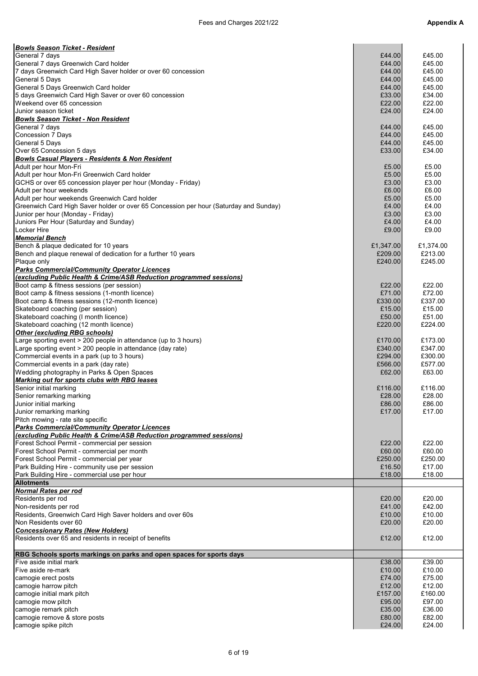| <b>Bowls Season Ticket - Resident</b>                                                 |                  |                  |
|---------------------------------------------------------------------------------------|------------------|------------------|
| General 7 days                                                                        | £44.00           | £45.00           |
| General 7 days Greenwich Card holder                                                  | £44.00           | £45.00           |
| 7 days Greenwich Card High Saver holder or over 60 concession                         | £44.00           | £45.00           |
| General 5 Days                                                                        | £44.00           | £45.00           |
| General 5 Days Greenwich Card holder                                                  | £44.00           | £45.00           |
| 5 days Greenwich Card High Saver or over 60 concession<br>Weekend over 65 concession  | £33.00           | £34.00<br>£22.00 |
| Junior season ticket                                                                  | £22.00<br>£24.00 | £24.00           |
| <b>Bowls Season Ticket - Non Resident</b>                                             |                  |                  |
| General 7 days                                                                        | £44.00           | £45.00           |
| Concession 7 Days                                                                     | £44.00           | £45.00           |
| <b>General 5 Days</b>                                                                 | £44.00           | £45.00           |
| Over 65 Concession 5 days                                                             | £33.00           | £34.00           |
| <b>Bowls Casual Players - Residents &amp; Non Resident</b>                            |                  |                  |
| Adult per hour Mon-Fri                                                                | £5.00            | £5.00            |
| Adult per hour Mon-Fri Greenwich Card holder                                          | £5.00            | £5.00            |
| GCHS or over 65 concession player per hour (Monday - Friday)                          | £3.00            | £3.00            |
| Adult per hour weekends                                                               | £6.00            | £6.00            |
| Adult per hour weekends Greenwich Card holder                                         | £5.00            | £5.00            |
| Greenwich Card High Saver holder or over 65 Concession per hour (Saturday and Sunday) | £4.00            | £4.00            |
| Junior per hour (Monday - Friday)                                                     | £3.00            | £3.00            |
| Juniors Per Hour (Saturday and Sunday)                                                | £4.00            | £4.00            |
| <b>Locker Hire</b>                                                                    | £9.00            | £9.00            |
| <b>Memorial Bench</b>                                                                 |                  |                  |
| Bench & plaque dedicated for 10 years                                                 | £1,347.00        | £1,374.00        |
| Bench and plaque renewal of dedication for a further 10 years                         | £209.00          | £213.00          |
| Plaque only                                                                           | £240.00          | £245.00          |
| <b>Parks Commercial/Community Operator Licences</b>                                   |                  |                  |
| (excluding Public Health & Crime/ASB Reduction programmed sessions)                   |                  |                  |
| Boot camp & fitness sessions (per session)                                            | £22.00           | £22.00           |
| Boot camp & fitness sessions (1-month licence)                                        | £71.00           | £72.00           |
| Boot camp & fitness sessions (12-month licence)                                       | £330.00          | £337.00          |
| Skateboard coaching (per session)                                                     | £15.00           | £15.00           |
| Skateboard coaching (I month licence)                                                 | £50.00           | £51.00           |
| Skateboard coaching (12 month licence)                                                | £220.00          | £224.00          |
| <b>Other (excluding RBG schools)</b>                                                  |                  |                  |
| Large sporting event > 200 people in attendance (up to 3 hours)                       | £170.00          | £173.00          |
| Large sporting event > 200 people in attendance (day rate)                            | £340.00          | £347.00          |
| Commercial events in a park (up to 3 hours)                                           | £294.00          | £300.00          |
| Commercial events in a park (day rate)                                                | £566.00          | £577.00          |
| Wedding photography in Parks & Open Spaces                                            | £62.00           | £63.00           |
| Marking out for sports clubs with RBG leases                                          |                  |                  |
| Senior initial marking                                                                | £116.00          | £116.00          |
| Senior remarking marking                                                              | £28.00           | £28.00           |
| Junior initial marking                                                                | £86.00           | £86.00           |
| Junior remarking marking                                                              | £17.00           | £17.00           |
| Pitch mowing - rate site specific                                                     |                  |                  |
| <b>Parks Commercial/Community Operator Licences</b>                                   |                  |                  |
| (excluding Public Health & Crime/ASB Reduction programmed sessions)                   |                  |                  |
| Forest School Permit - commercial per session                                         | £22.00           | £22.00           |
| Forest School Permit - commercial per month                                           | £60.00           | £60.00           |
| Forest School Permit - commercial per year                                            | £250.00          | £250.00          |
| Park Building Hire - community use per session                                        | £16.50           | £17.00           |
| Park Building Hire - commercial use per hour                                          | £18.00           | £18.00           |
| <b>Allotments</b>                                                                     |                  |                  |
| <b>Normal Rates per rod</b>                                                           |                  |                  |
| Residents per rod                                                                     | £20.00           | £20.00           |
| Non-residents per rod                                                                 | £41.00           | £42.00           |
| Residents, Greenwich Card High Saver holders and over 60s                             | £10.00           | £10.00           |
| Non Residents over 60                                                                 | £20.00           | £20.00           |
| <b>Concessionary Rates (New Holders)</b>                                              |                  |                  |
| Residents over 65 and residents in receipt of benefits                                | £12.00           | £12.00           |
|                                                                                       |                  |                  |
| RBG Schools sports markings on parks and open spaces for sports days                  |                  |                  |
| Five aside initial mark                                                               | £38.00           | £39.00           |
| Five aside re-mark                                                                    | £10.00           | £10.00           |
| camogie erect posts                                                                   | £74.00           | £75.00           |
| camogie harrow pitch                                                                  | £12.00           | £12.00           |
| camogie initial mark pitch                                                            | £157.00          | £160.00          |
| camogie mow pitch                                                                     | £95.00           | £97.00           |
| camogie remark pitch                                                                  | £35.00           | £36.00           |
| camogie remove & store posts                                                          | £80.00           | £82.00           |
| camogie spike pitch                                                                   | £24.00           | £24.00           |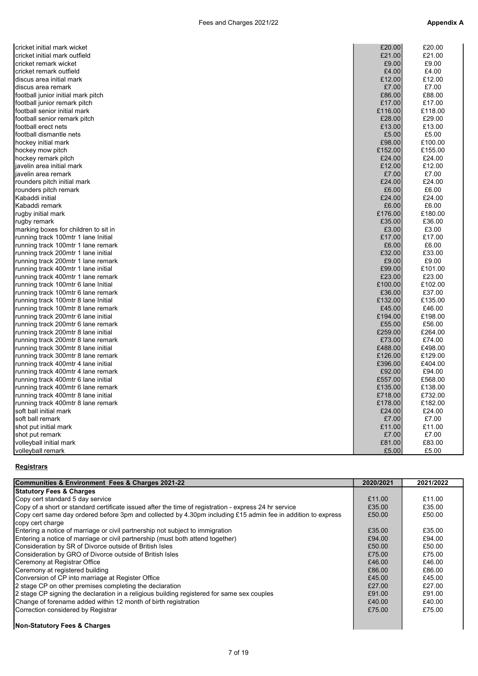| cricket initial mark wicket          | £20.00  | £20.00  |
|--------------------------------------|---------|---------|
| cricket initial mark outfield        | £21.00  | £21.00  |
| cricket remark wicket                | £9.00   | £9.00   |
| cricket remark outfield              | £4.00   | £4.00   |
| discus area initial mark             | £12.00  | £12.00  |
| discus area remark                   | £7.00   | £7.00   |
| football junior initial mark pitch   | £86.00  | £88.00  |
| football junior remark pitch         | £17.00  | £17.00  |
| football senior initial mark         | £116.00 | £118.00 |
| football senior remark pitch         | £28.00  | £29.00  |
| football erect nets                  | £13.00  | £13.00  |
| football dismantle nets              | £5.00   | £5.00   |
| hockey initial mark                  | £98.00  | £100.00 |
| hockey mow pitch                     | £152.00 | £155.00 |
| hockey remark pitch                  | £24.00  | £24.00  |
| javelin area initial mark            | £12.00  | £12.00  |
| javelin area remark                  | £7.00   | £7.00   |
| rounders pitch initial mark          | £24.00  | £24.00  |
| rounders pitch remark                | £6.00   | £6.00   |
| Kabaddi initial                      | £24.00  | £24.00  |
| Kabaddi remark                       | £6.00   | £6.00   |
| rugby initial mark                   | £176.00 | £180.00 |
| rugby remark                         | £35.00  | £36.00  |
| marking boxes for children to sit in | £3.00   | £3.00   |
| running track 100mtr 1 lane Initial  | £17.00  | £17.00  |
| running track 100mtr 1 lane remark   | £6.00   | £6.00   |
| running track 200mtr 1 lane initial  | £32.00  | £33.00  |
| running track 200mtr 1 lane remark   | £9.00   | £9.00   |
| running track 400mtr 1 lane initial  | £99.00  | £101.00 |
| running track 400mtr 1 lane remark   | £23.00  | £23.00  |
| running track 100mtr 6 lane Initial  | £100.00 | £102.00 |
| running track 100mtr 6 lane remark   | £36.00  | £37.00  |
| running track 100mtr 8 lane Initial  | £132.00 | £135.00 |
| running track 100mtr 8 lane remark   | £45.00  | £46.00  |
| running track 200mtr 6 lane initial  | £194.00 | £198.00 |
| running track 200mtr 6 lane remark   | £55.00  | £56.00  |
| running track 200mtr 8 lane initial  | £259.00 | £264.00 |
| running track 200mtr 8 lane remark   | £73.00  | £74.00  |
| running track 300mtr 8 lane initial  | £488.00 | £498.00 |
| running track 300mtr 8 lane remark   | £126.00 | £129.00 |
| running track 400mtr 4 lane initial  | £396.00 | £404.00 |
| running track 400mtr 4 lane remark   | £92.00  | £94.00  |
| running track 400mtr 6 lane initial  | £557.00 | £568.00 |
| running track 400mtr 6 lane remark   | £135.00 | £138.00 |
| running track 400mtr 8 lane initial  | £718.00 | £732.00 |
| running track 400mtr 8 lane remark   | £178.00 | £182.00 |
| soft ball initial mark               | £24.00  | £24.00  |
| soft ball remark                     | £7.00   | £7.00   |
|                                      | £11.00  | £11.00  |
| shot put initial mark                |         |         |
| shot put remark                      | £7.00   | £7.00   |
| volleyball initial mark              | £81.00  | £83.00  |
| volleyball remark                    | £5.00   | £5.00   |

## **Registrars**

| Communities & Environment Fees & Charges 2021-22                                                                                 | 2020/2021 | 2021/2022 |
|----------------------------------------------------------------------------------------------------------------------------------|-----------|-----------|
| <b>Statutory Fees &amp; Charges</b>                                                                                              |           |           |
| Copy cert standard 5 day service                                                                                                 | £11.00    | £11.00    |
| Copy of a short or standard certificate issued after the time of registration - express 24 hr service                            | £35.00    | £35.00    |
| Copy cert same day ordered before 3pm and collected by 4.30pm including £15 admin fee in addition to express<br>copy cert charge | £50.00    | £50.00    |
| Entering a notice of marriage or civil partnership not subject to immigration                                                    | £35.00    | £35.00    |
| Entering a notice of marriage or civil partnership (must both attend together)                                                   | £94.00    | £94.00    |
| Consideration by SR of Divorce outside of British Isles                                                                          | £50.00    | £50.00    |
| Consideration by GRO of Divorce outside of British Isles                                                                         | £75.00    | £75.00    |
| Ceremony at Registrar Office                                                                                                     | £46.00    | £46.00    |
| Ceremony at registered building                                                                                                  | £86.00    | £86.00    |
| Conversion of CP into marriage at Register Office                                                                                | £45.00    | £45.00    |
| 2 stage CP on other premises completing the declaration                                                                          | £27.00    | £27.00    |
| 2 stage CP signing the declaration in a religious building registered for same sex couples                                       | £91.00    | £91.00    |
| Change of forename added within 12 month of birth registration                                                                   | £40.00    | £40.00    |
| Correction considered by Registrar                                                                                               | £75.00    | £75.00    |
| <b>Non-Statutory Fees &amp; Charges</b>                                                                                          |           |           |

## 7 of 19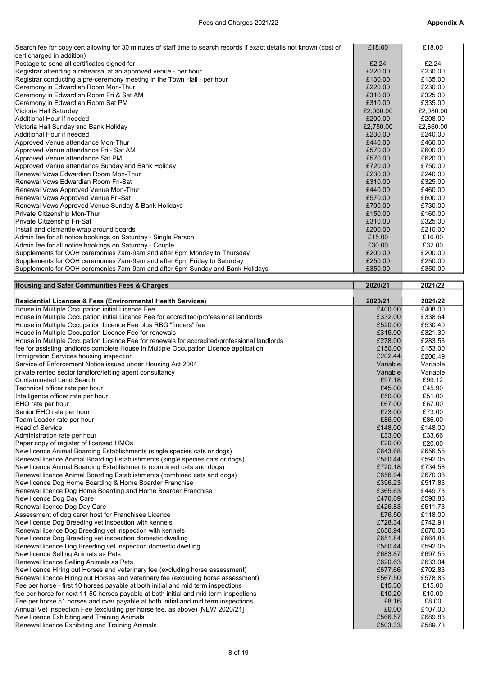| Search fee for copy cert allowing for 30 minutes of staff time to search records if exact details not known (cost of | £18.00    | £18.00    |
|----------------------------------------------------------------------------------------------------------------------|-----------|-----------|
| cert charged in addition)                                                                                            |           |           |
| Postage to send all certificates signed for                                                                          | £2.24     | £2.24     |
| Registrar attending a rehearsal at an approved venue - per hour                                                      | £220.00   | £230.00   |
| Registrar conducting a pre-ceremony meeting in the Town Hall - per hour                                              | £130.00   | £135.00   |
| Ceremony in Edwardian Room Mon-Thur                                                                                  | £220.00   | £230.00   |
| Ceremony in Edwardian Room Fri & Sat AM                                                                              | £310.00   | £325.00   |
| Ceremony in Edwardian Room Sat PM                                                                                    | £310.00   | £335.00   |
| Victoria Hall Saturday                                                                                               | £2,000.00 | £2,080.00 |
| Additional Hour if needed                                                                                            | £200.00   | £208.00   |
| Victoria Hall Sunday and Bank Holiday                                                                                | £2,750.00 | £2,860.00 |
| Additional Hour if needed                                                                                            | £230.00   | £240.00   |
| Approved Venue attendance Mon-Thur                                                                                   | £440.00   | £460.00   |
| Approved Venue attendance Fri - Sat AM                                                                               | £570.00   | £600.00   |
| Approved Venue attendance Sat PM                                                                                     | £570.00   | £620.00   |
| Approved Venue attendance Sunday and Bank Holiday                                                                    | £720.00   | £750.00   |
| <b>IRenewal Vows Edwardian Room Mon-Thur</b>                                                                         | £230.00   | £240.00   |
| Renewal Vows Edwardian Room Fri-Sat                                                                                  | £310.00   | £325.00   |
| Renewal Vows Approved Venue Mon-Thur                                                                                 | £440.00   | £460.00   |
| Renewal Vows Approved Venue Fri-Sat                                                                                  | £570.00   | £600.00   |
| Renewal Vows Approved Venue Sunday & Bank Holidays                                                                   | £700.00   | £730.00   |
| Private Citizenship Mon-Thur                                                                                         | £150.00   | £160.00   |
| Private Citizenship Fri-Sat                                                                                          | £310.00   | £325.00   |
| Install and dismantle wrap around boards                                                                             | £200.00   | £210.00   |
| Admin fee for all notice bookings on Saturday - Single Person                                                        | £15.00    | £16.00    |
| Admin fee for all notice bookings on Saturday - Couple                                                               | £30.00    | £32.00    |
| Supplements for OOH ceremonies 7am-9am and after 6pm Monday to Thursday                                              | £200.00   | £200.00   |
| Supplements for OOH ceremonies 7am-9am and after 6pm Friday to Saturday                                              | £250.00   | £250.00   |
| Supplements for OOH ceremonies 7am-9am and after 6pm Sunday and Bank Holidays                                        | £350.00   | £350.00   |
|                                                                                                                      |           |           |

| <b>Housing and Safer Communities Fees &amp; Charges</b> | 2020/21 | 2021/22 |
|---------------------------------------------------------|---------|---------|
|                                                         |         |         |

| <b>Housing and Safer Communities Fees &amp; Charges</b>                                     | 2020/21  | 2021/22  |
|---------------------------------------------------------------------------------------------|----------|----------|
|                                                                                             |          |          |
| Residential Licences & Fees (Environmental Health Services)                                 | 2020/21  | 2021/22  |
| House in Multiple Occupation initial Licence Fee                                            | £400.00  | £408.00  |
| House in Multiple Occupation initial Licence Fee for accredited/professional landlords      | £332.00  | £338.64  |
| House in Multiple Occupation Licence Fee plus RBG "finders" fee                             | £520.00  | £530.40  |
| House in Multiple Occupation Licence Fee for renewals                                       | £315.00  | £321.30  |
| House in Multiple Occupation Licence Fee for renewals for accredited/professional landlords | £278.00  | £283.56  |
| fee for assisting landlords complete House in Multiple Occupation Licence application       | £150.00  | £153.00  |
| Immigration Services housing inspection                                                     | £202.44  | £206.49  |
| Service of Enforcement Notice issued under Housing Act 2004                                 | Variable | Variable |
| private rented sector landlord/letting agent consultancy                                    | Variable | Variable |
| Contaminated Land Search                                                                    | £97.18   | £99.12   |
| Technical officer rate per hour                                                             | £45.00   | £45.90   |
| Intelligence officer rate per hour                                                          | £50.00   | £51.00   |
| EHO rate per hour                                                                           | £67.00   | £67.00   |
| Senior EHO rate per hour                                                                    | £73.00   | £73.00   |
| Team Leader rate per hour                                                                   | £86.00   | £86.00   |
| <b>Head of Service</b>                                                                      | £148.00  | £148.00  |
| Administration rate per hour                                                                | £33.00   | £33.66   |
| Paper copy of register of licensed HMOs                                                     | £20.00   | £20.00   |
| New licence Animal Boarding Establishments (single species cats or dogs)                    | £643.68  | £656.55  |
| Renewal licence Animal Boarding Establishments (single species cats or dogs)                | £580.44  | £592.05  |
| New licence Animal Boarding Establishments (combined cats and dogs)                         | £720.18  | £734.58  |
| Renewal licence Animal Boarding Establishments (combined cats and dogs)                     | £656.94  | £670.08  |
| New licence Dog Home Boarding & Home Boarder Franchise                                      | £396.23  | £517.83  |
| Renewal licence Dog Home Boarding and Home Boarder Franchise                                | £365.63  | £449.73  |
| New licence Dog Day Care                                                                    | £470.69  | £593.83  |
| Renewal licence Dog Day Care                                                                | £426.83  | £511.73  |
| Assessment of dog carer host for Franchisee Licence                                         | £76.50   | £118.00  |
| New licence Dog Breeding vet inspection with kennels                                        | £728.34  | £742.91  |
| Renewal licence Dog Breeding vet inspection with kennels                                    | £656.94  | £670.08  |
| New licence Dog Breeding vet inspection domestic dwelling                                   | £651.84  | £664.88  |
| Renewal licence Dog Breeding vet inspection domestic dwelling                               | £580.44  | £592.05  |
| New licence Selling Animals as Pets                                                         | £683.87  | £697.55  |
| Renewal licence Selling Animals as Pets                                                     | £620.63  | £633.04  |
| New licence Hiring out Horses and veterinary fee (excluding horse assessment)               | £677.66  | £702.83  |
| Renewal licence Hiring out Horses and veterinary fee (excluding horse assessment)           | £567.50  | £578.85  |
| Fee per horse - first 10 horses payable at both initial and mid term inspections            | £15.30   | £15.00   |
| fee per horse for next 11-50 horses payable at both initial and mid term inspections        | £10.20   | £10.00   |
| Fee per horse 51 horses and over payable at both initial and mid term inspections           | £8.16    | £8.00    |
| Annual Vet Inspection Fee (excluding per horse fee, as above) [NEW 2020/21]                 | £0.00    | £107.00  |
| New licence Exhibiting and Training Animals                                                 | £566.57  | £689.83  |
| Renewal licence Exhibiting and Training Animals                                             | £503.33  | £589.73  |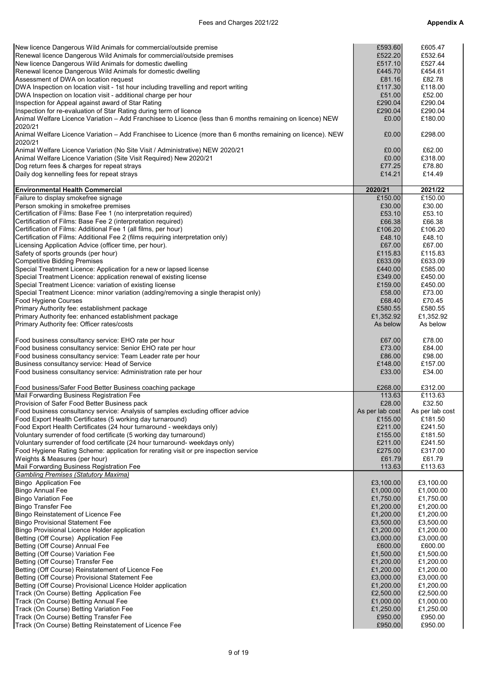| New licence Dangerous Wild Animals for commercial/outside premise                                           | £593.60            | £605.47            |
|-------------------------------------------------------------------------------------------------------------|--------------------|--------------------|
|                                                                                                             |                    |                    |
| Renewal licence Dangerous Wild Animals for commercial/outside premises                                      | £522.20            | £532.64            |
| New licence Dangerous Wild Animals for domestic dwelling                                                    | £517.10            | £527.44            |
| Renewal licence Dangerous Wild Animals for domestic dwelling                                                | £445.70            | £454.61            |
|                                                                                                             |                    |                    |
| Assessment of DWA on location request                                                                       | £81.16             | £82.78             |
| DWA Inspection on location visit - 1st hour including travelling and report writing                         | £117.30            | £118.00            |
|                                                                                                             |                    |                    |
| DWA Inspection on location visit - additional charge per hour                                               | £51.00             | £52.00             |
| Inspection for Appeal against award of Star Rating                                                          | £290.04            | £290.04            |
| Inspection for re-evaluation of Star Rating during term of licence                                          | £290.04            | £290.04            |
|                                                                                                             |                    |                    |
| Animal Welfare Licence Variation - Add Franchisee to Licence (less than 6 months remaining on licence) NEW  | £0.00              | £180.00            |
| 2020/21                                                                                                     |                    |                    |
|                                                                                                             |                    |                    |
| Animal Welfare Licence Variation - Add Franchisee to Licence (more than 6 months remaining on licence). NEW | £0.00              | £298.00            |
| 2020/21                                                                                                     |                    |                    |
| Animal Welfare Licence Variation (No Site Visit / Administrative) NEW 2020/21                               | £0.00              | £62.00             |
|                                                                                                             |                    |                    |
| Animal Welfare Licence Variation (Site Visit Required) New 2020/21                                          | £0.00              | £318.00            |
| Dog return fees & charges for repeat strays                                                                 | £77.25             | £78.80             |
|                                                                                                             |                    |                    |
| Daily dog kennelling fees for repeat strays                                                                 | £14.21             | £14.49             |
|                                                                                                             |                    |                    |
| <b>Environmental Health Commercial</b>                                                                      | 2020/21            | 2021/22            |
|                                                                                                             |                    |                    |
| Failure to display smokefree signage                                                                        | £150.00            | £150.00            |
| Person smoking in smokefree premises                                                                        | £30.00             | £30.00             |
| Certification of Films: Base Fee 1 (no interpretation required)                                             | £53.10             | £53.10             |
|                                                                                                             |                    |                    |
| Certification of Films: Base Fee 2 (interpretation required)                                                | £66.38             | £66.38             |
| Certification of Films: Additional Fee 1 (all films, per hour)                                              | £106.20            | £106.20            |
|                                                                                                             |                    |                    |
| Certification of Films: Additional Fee 2 (films requiring interpretation only)                              | £48.10             | £48.10             |
| Licensing Application Advice (officer time, per hour).                                                      | £67.00             | £67.00             |
|                                                                                                             |                    |                    |
| Safety of sports grounds (per hour)                                                                         | £115.83            | £115.83            |
| <b>Competitive Bidding Premises</b>                                                                         | £633.09            | £633.09            |
| Special Treatment Licence: Application for a new or lapsed license                                          | £440.00            | £585.00            |
|                                                                                                             |                    |                    |
| Special Treatment Licence: application renewal of existing license                                          | £349.00            | £450.00            |
| Special Treatment Licence: variation of existing license                                                    | £159.00            | £450.00            |
|                                                                                                             |                    |                    |
| Special Treatment Licence: minor variation (adding/removing a single therapist only)                        | £58.00             | £73.00             |
| Food Hygiene Courses                                                                                        | £68.40             | £70.45             |
|                                                                                                             | £580.55            | £580.55            |
| Primary Authority fee: establishment package                                                                |                    |                    |
| Primary Authority fee: enhanced establishment package                                                       | £1,352.92          | £1,352.92          |
| Primary Authority fee: Officer rates/costs                                                                  | As below           | As below           |
|                                                                                                             |                    |                    |
|                                                                                                             |                    |                    |
| Food business consultancy service: EHO rate per hour                                                        | £67.00             | £78.00             |
|                                                                                                             |                    |                    |
| Food business consultancy service: Senior EHO rate per hour                                                 | £73.00             | £84.00             |
| Food business consultancy service: Team Leader rate per hour                                                | £86.00             | £98.00             |
| Business consultancy service: Head of Service                                                               | £148.00            | £157.00            |
|                                                                                                             |                    |                    |
| Food business consultancy service: Administration rate per hour                                             | £33.00             | £34.00             |
|                                                                                                             |                    |                    |
| Food business/Safer Food Better Business coaching package                                                   | £268.00            | £312.00            |
|                                                                                                             |                    |                    |
| Mail Forwarding Business Registration Fee                                                                   | 113.63             | £113.63            |
| Provision of Safer Food Better Business pack                                                                | £28.00             | £32.50             |
|                                                                                                             |                    |                    |
| Food business consultancy service: Analysis of samples excluding officer advice                             | As per lab cost    | As per lab cost    |
| Food Export Health Certificates (5 working day turnaround)                                                  | £155.00            | £181.50            |
| [Food Export Health Certificates (24 hour turnaround - weekdays only)                                       | £211.00            | £241.50            |
|                                                                                                             |                    |                    |
| Voluntary surrender of food certificate (5 working day turnaround)                                          | £155.00            | £181.50            |
| Voluntary surrender of food certificate (24 hour turnaround- weekdays only)                                 | £211.00            | £241.50            |
| Food Hygiene Rating Scheme: application for rerating visit or pre inspection service                        | £275.00            | £317.00            |
|                                                                                                             |                    |                    |
| Weights & Measures (per hour)                                                                               | £61.79             | £61.79             |
| Mail Forwarding Business Registration Fee                                                                   | 113.63             | £113.63            |
| <b>Gambling Premises (Statutory Maxima)</b>                                                                 |                    |                    |
|                                                                                                             |                    |                    |
| Bingo Application Fee                                                                                       | £3,100.00          | £3,100.00          |
| <b>Bingo Annual Fee</b>                                                                                     | £1,000.00          | £1,000.00          |
| <b>Bingo Variation Fee</b>                                                                                  |                    |                    |
|                                                                                                             | £1,750.00          | £1,750.00          |
| <b>Bingo Transfer Fee</b>                                                                                   | £1,200.00          | £1,200.00          |
| Bingo Reinstatement of Licence Fee                                                                          | £1,200.00          | £1,200.00          |
|                                                                                                             |                    |                    |
| Bingo Provisional Statement Fee                                                                             | £3,500.00          | £3,500.00          |
| Bingo Provisional Licence Holder application                                                                | £1,200.00          | £1,200.00          |
|                                                                                                             |                    |                    |
| Betting (Off Course) Application Fee                                                                        | £3,000.00          | £3,000.00          |
| Betting (Off Course) Annual Fee                                                                             | £600.00            | £600.00            |
| Betting (Off Course) Variation Fee                                                                          | £1,500.00          | £1,500.00          |
|                                                                                                             |                    |                    |
| Betting (Off Course) Transfer Fee                                                                           | £1,200.00          | £1,200.00          |
| Betting (Off Course) Reinstatement of Licence Fee                                                           | £1,200.00          | £1,200.00          |
|                                                                                                             |                    |                    |
| Betting (Off Course) Provisional Statement Fee                                                              | £3,000.00          | £3,000.00          |
| Betting (Off Course) Provisional Licence Holder application                                                 | £1,200.00          | £1,200.00          |
| Track (On Course) Betting Application Fee                                                                   | £2,500.00          | £2,500.00          |
|                                                                                                             |                    |                    |
| Track (On Course) Betting Annual Fee                                                                        | £1,000.00          | £1,000.00          |
| Track (On Course) Betting Variation Fee                                                                     | £1,250.00          | £1,250.00          |
|                                                                                                             |                    |                    |
|                                                                                                             |                    |                    |
| Track (On Course) Betting Transfer Fee<br>Track (On Course) Betting Reinstatement of Licence Fee            | £950.00<br>£950.00 | £950.00<br>£950.00 |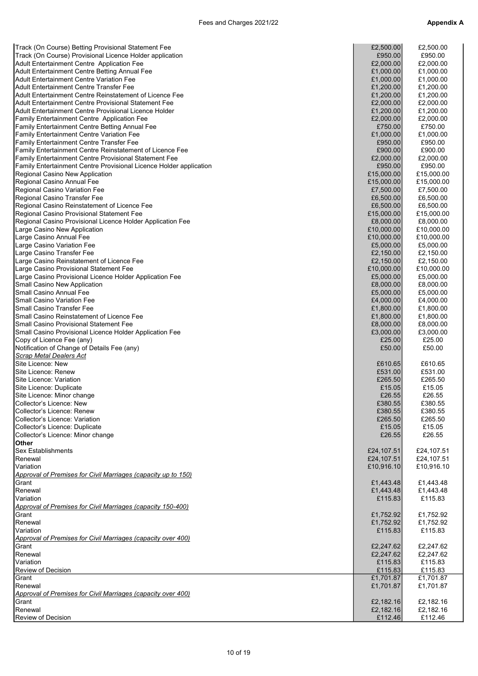| Track (On Course) Betting Provisional Statement Fee                       | £2,500.00  | £2,500.00  |
|---------------------------------------------------------------------------|------------|------------|
|                                                                           |            |            |
| Track (On Course) Provisional Licence Holder application                  | £950.00    | £950.00    |
| Adult Entertainment Centre Application Fee                                | £2,000.00  | £2,000.00  |
| Adult Entertainment Centre Betting Annual Fee                             | £1,000.00  | £1,000.00  |
| <b>Adult Entertainment Centre Variation Fee</b>                           | £1,000.00  | £1,000.00  |
| Adult Entertainment Centre Transfer Fee                                   | £1,200.00  | £1,200.00  |
| <b>Adult Entertainment Centre Reinstatement of Licence Fee</b>            | £1,200.00  | £1,200.00  |
| Adult Entertainment Centre Provisional Statement Fee                      | £2,000.00  | £2,000.00  |
| Adult Entertainment Centre Provisional Licence Holder                     | £1,200.00  | £1,200.00  |
| Family Entertainment Centre Application Fee                               | £2,000.00  | £2,000.00  |
| <b>Family Entertainment Centre Betting Annual Fee</b>                     | £750.00    | £750.00    |
| <b>Family Entertainment Centre Variation Fee</b>                          | £1,000.00  | £1,000.00  |
| Family Entertainment Centre Transfer Fee                                  | £950.00    | £950.00    |
| Family Entertainment Centre Reinstatement of Licence Fee                  | £900.00    | £900.00    |
| Family Entertainment Centre Provisional Statement Fee                     | £2,000.00  | £2,000.00  |
| <b>Family Entertainment Centre Provisional Licence Holder application</b> | £950.00    | £950.00    |
| Regional Casino New Application                                           | £15,000.00 | £15,000.00 |
| Regional Casino Annual Fee                                                | £15,000.00 | £15,000.00 |
| Regional Casino Variation Fee                                             | £7,500.00  | £7,500.00  |
| Regional Casino Transfer Fee                                              | £6,500.00  | £6,500.00  |
| Regional Casino Reinstatement of Licence Fee                              | £6,500.00  | £6,500.00  |
| Regional Casino Provisional Statement Fee                                 | £15,000.00 | £15,000.00 |
| Regional Casino Provisional Licence Holder Application Fee                | £8,000.00  | £8,000.00  |
| Large Casino New Application                                              | £10,000.00 | £10,000.00 |
| Large Casino Annual Fee                                                   | £10,000.00 | £10,000.00 |
| Large Casino Variation Fee                                                | £5,000.00  | £5,000.00  |
| Large Casino Transfer Fee                                                 | £2,150.00  | £2,150.00  |
| Large Casino Reinstatement of Licence Fee                                 | £2,150.00  | £2,150.00  |
| Large Casino Provisional Statement Fee                                    | £10,000.00 | £10,000.00 |
| Large Casino Provisional Licence Holder Application Fee                   | £5,000.00  | £5,000.00  |
| Small Casino New Application                                              | £8,000.00  | £8,000.00  |
| Small Casino Annual Fee                                                   | £5,000.00  | £5,000.00  |
| <b>Small Casino Variation Fee</b>                                         | £4,000.00  | £4,000.00  |
| <b>Small Casino Transfer Fee</b>                                          | £1,800.00  | £1,800.00  |
| Small Casino Reinstatement of Licence Fee                                 | £1,800.00  | £1,800.00  |
| <b>Small Casino Provisional Statement Fee</b>                             | £8,000.00  | £8,000.00  |
| Small Casino Provisional Licence Holder Application Fee                   | £3,000.00  | £3,000.00  |
|                                                                           | £25.00     | £25.00     |
| Copy of Licence Fee (any)                                                 |            |            |
| Notification of Change of Details Fee (any)                               | £50.00     | £50.00     |
| Scrap Metal Dealers Act                                                   |            |            |
| Site Licence: New                                                         | £610.65    | £610.65    |
| Site Licence: Renew                                                       | £531.00    | £531.00    |
| Site Licence: Variation                                                   | £265.50    | £265.50    |
| Site Licence: Duplicate                                                   | £15.05     | £15.05     |
| Site Licence: Minor change                                                | £26.55     | £26.55     |
| Collector's Licence: New                                                  | £380.55    | £380.55    |
| Collector's Licence: Renew                                                | £380.55    | £380.55    |
| Collector's Licence: Variation                                            | £265.50    | £265.50    |
| Collector's Licence: Duplicate                                            | £15.05     | £15.05     |
| Collector's Licence: Minor change                                         | £26.55     | £26.55     |
| <b>Other</b>                                                              |            |            |
| <b>Sex Establishments</b>                                                 | £24,107.51 | £24,107.51 |
| Renewal                                                                   | £24,107.51 | £24,107.51 |
| Variation                                                                 | £10,916.10 | £10,916.10 |
| Approval of Premises for Civil Marriages (capacity up to 150)             |            |            |
| Grant                                                                     | £1,443.48  | £1,443.48  |
| Renewal                                                                   | £1,443.48  | £1,443.48  |
| Variation                                                                 | £115.83    | £115.83    |
| Approval of Premises for Civil Marriages (capacity 150-400)               |            |            |
| Grant                                                                     | £1,752.92  | £1,752.92  |
| Renewal                                                                   | £1,752.92  | £1,752.92  |
| Variation                                                                 | £115.83    | £115.83    |
| Approval of Premises for Civil Marriages (capacity over 400)              |            |            |
| Grant                                                                     | £2,247.62  | £2,247.62  |
| Renewal                                                                   | £2,247.62  | £2,247.62  |
| Variation                                                                 | £115.83    | £115.83    |
| <b>Review of Decision</b>                                                 | £115.83    | £115.83    |
| Grant                                                                     | £1,701.87  | £1,701.87  |
| Renewal                                                                   | £1,701.87  | £1,701.87  |
| Approval of Premises for Civil Marriages (capacity over 400)              |            |            |
| Grant                                                                     | £2,182.16  | £2,182.16  |
| Renewal                                                                   | £2,182.16  | £2,182.16  |
| Review of Decision                                                        | £112.46    | £112.46    |
|                                                                           |            |            |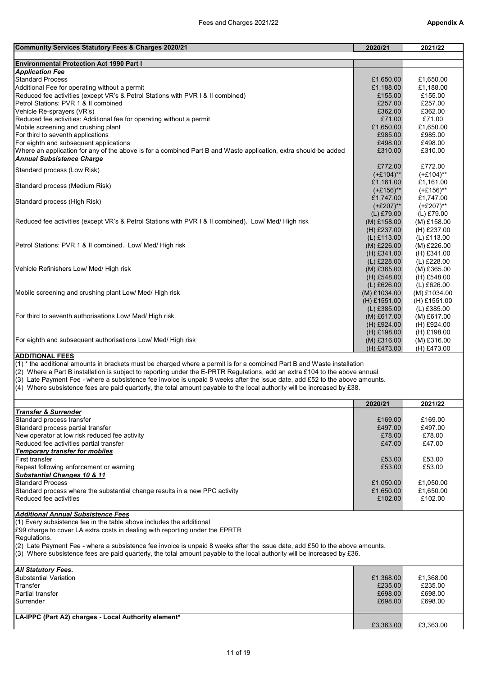| Community Services Statutory Fees & Charges 2020/21                                                                          | 2020/21        | 2021/22       |
|------------------------------------------------------------------------------------------------------------------------------|----------------|---------------|
|                                                                                                                              |                |               |
| <b>Environmental Protection Act 1990 Part I</b>                                                                              |                |               |
| <b>Application Fee</b>                                                                                                       |                |               |
| <b>Standard Process</b>                                                                                                      | £1,650.00      | £1,650.00     |
| Additional Fee for operating without a permit                                                                                | £1,188.00      | £1,188.00     |
| Reduced fee activities (except VR's & Petrol Stations with PVR I & II combined)                                              | £155.00        | £155.00       |
| Petrol Stations: PVR 1 & II combined                                                                                         | £257.00        | £257.00       |
| Vehicle Re-sprayers (VR's)                                                                                                   | £362.00        | £362.00       |
| Reduced fee activities: Additional fee for operating without a permit                                                        | £71.00         | £71.00        |
| Mobile screening and crushing plant                                                                                          | £1,650.00      | £1,650.00     |
| For third to seventh applications                                                                                            | £985.00        | £985.00       |
| For eighth and subsequent applications                                                                                       | £498.00        | £498.00       |
| Where an application for any of the above is for a combined Part B and Waste application, extra should be added              | £310.00        | £310.00       |
| <b>Annual Subsistence Charge</b>                                                                                             |                |               |
| Standard process (Low Risk)                                                                                                  | £772.00        | £772.00       |
|                                                                                                                              | $(+£104)$ **   | $(+£104)$ **  |
| Standard process (Medium Risk)                                                                                               | £1,161.00      | £1,161.00     |
|                                                                                                                              | $(+£156)$ **   | $(+£156)$ **  |
| Standard process (High Risk)                                                                                                 | £1,747.00      | £1,747.00     |
|                                                                                                                              | $(+£207)$ **   | $(+£207)$ **  |
|                                                                                                                              | $(L)$ £79.00   | (L) £79.00    |
| Reduced fee activities (except VR's & Petrol Stations with PVR I & II combined). Low/ Med/ High risk                         | $(M)$ £158.00  | $(M)$ £158.00 |
|                                                                                                                              | $(H)$ £237.00  | (H) £237.00   |
|                                                                                                                              | $(L)$ £113.00  | (L) £113.00   |
| Petrol Stations: PVR 1 & II combined. Low/ Med/ High risk                                                                    | $(M)$ £226.00  | (M) £226.00   |
|                                                                                                                              | $(H)$ £341.00  | (H) £341.00   |
|                                                                                                                              | $(L)$ £228.00  | (L) £228.00   |
| Vehicle Refinishers Low/ Med/ High risk                                                                                      | $(M)$ £365.00  | $(M)$ £365.00 |
|                                                                                                                              | $(H)$ £548.00  | (H) £548.00   |
|                                                                                                                              | $(L)$ £626.00  | $(L)$ £626.00 |
| Mobile screening and crushing plant Low/ Med/ High risk                                                                      | $(M)$ £1034.00 | (M) £1034.00  |
|                                                                                                                              | $(H)$ £1551.00 | (H) £1551.00  |
|                                                                                                                              | $(L)$ £385.00  | (L) £385.00   |
| For third to seventh authorisations Low/ Med/ High risk                                                                      | $(M)$ £617.00  | (M) £617.00   |
|                                                                                                                              | $(H)$ £924.00  | (H) £924.00   |
|                                                                                                                              | $(H)$ £198.00  | (H) £198.00   |
| For eighth and subsequent authorisations Low/ Med/ High risk                                                                 | $(M)$ £316.00  | $(M)$ £316.00 |
|                                                                                                                              | (H) £473.00    | (H) £473.00   |
| <b>ADDITIONAL FEES</b>                                                                                                       |                |               |
| $(1)$ * the additional amounts in brackets must be charged where a permit is for a combined Part B and Waste installation    |                |               |
| (2) Where a Part B installation is subject to reporting under the E-PRTR Regulations, add an extra £104 to the above annual  |                |               |
| (3) Late Payment Fee - where a subsistence fee invoice is unpaid 8 weeks after the issue date, add £52 to the above amounts. |                |               |
| (4) Where subsistence fees are paid quarterly, the total amount payable to the local authority will be increased by £38.     |                |               |

|                                                                             | 2020/21   | 2021/22   |
|-----------------------------------------------------------------------------|-----------|-----------|
| Transfer & Surrender                                                        |           |           |
| Standard process transfer                                                   | £169.00   | £169.00   |
| Standard process partial transfer                                           | £497.00   | £497.00   |
| New operator at low risk reduced fee activity                               | £78.00    | £78.00    |
| Reduced fee activities partial transfer                                     | £47.00    | £47.00    |
| Temporary transfer for mobiles                                              |           |           |
| <b>First transfer</b>                                                       | £53.00    | £53.00    |
| Repeat following enforcement or warning                                     | £53.00    | £53.00    |
| <b>Substantial Changes 10 &amp; 11</b>                                      |           |           |
| <b>Standard Process</b>                                                     | £1,050.00 | £1,050.00 |
| Standard process where the substantial change results in a new PPC activity | £1.650.00 | £1.650.00 |
| Reduced fee activities                                                      | £102.00   | £102.00   |
| Additional Annual Cubaiatones Fess                                          |           |           |

### Additional Annual Subsistence Fees

(1) Every subsistence fee in the table above includes the additional

£99 charge to cover LA extra costs in dealing with reporting under the EPRTR

Regulations.

 $(2)$  Late Payment Fee - where a subsistence fee invoice is unpaid 8 weeks after the issue date, add £50 to the above amounts.

(3) Where subsistence fees are paid quarterly, the total amount payable to the local authority will be increased by £36.

| <b>All Statutory Fees.</b>                           |           |           |
|------------------------------------------------------|-----------|-----------|
| Substantial Variation                                | £1,368.00 | £1,368.00 |
| Transfer                                             | £235.00   | £235.00   |
| Partial transfer                                     | £698.00   | £698.00   |
| Surrender                                            | £698.00   | £698.00   |
|                                                      |           |           |
| LA-IPPC (Part A2) charges - Local Authority element* |           |           |
|                                                      | £3,363.00 | £3,363.00 |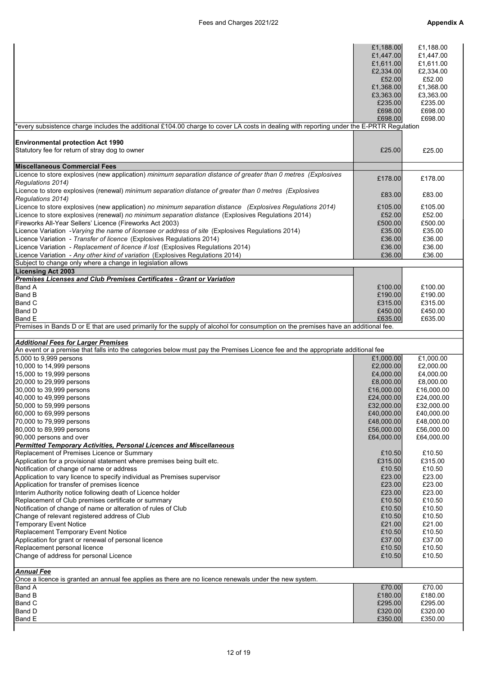| every subsistence charge includes the additional £104.00 charge to cover LA costs in dealing with reporting under the E-PRTR Regulation<br><b>Environmental protection Act 1990</b>                                                                                                                                                                                              | £1,188.00<br>£1,447.00<br>£1,611.00<br>£2,334.00<br>£52.00<br>£1,368.00<br>£3,363.00<br>£235.00<br>£698.00<br>£698.00 | £1,188.00<br>£1,447.00<br>£1,611.00<br>£2,334.00<br>£52.00<br>£1,368.00<br>£3,363.00<br>£235.00<br>£698.00<br>£698.00 |
|----------------------------------------------------------------------------------------------------------------------------------------------------------------------------------------------------------------------------------------------------------------------------------------------------------------------------------------------------------------------------------|-----------------------------------------------------------------------------------------------------------------------|-----------------------------------------------------------------------------------------------------------------------|
| Statutory fee for return of stray dog to owner                                                                                                                                                                                                                                                                                                                                   | £25.00                                                                                                                | £25.00                                                                                                                |
| Miscellaneous Commercial Fees                                                                                                                                                                                                                                                                                                                                                    |                                                                                                                       |                                                                                                                       |
| Licence to store explosives (new application) minimum separation distance of greater than 0 metres (Explosives                                                                                                                                                                                                                                                                   | £178.00                                                                                                               | £178.00                                                                                                               |
| Regulations 2014)<br>Licence to store explosives (renewal) minimum separation distance of greater than 0 metres (Explosives                                                                                                                                                                                                                                                      | £83.00                                                                                                                | £83.00                                                                                                                |
| Regulations 2014)                                                                                                                                                                                                                                                                                                                                                                |                                                                                                                       |                                                                                                                       |
| Licence to store explosives (new application) no minimum separation distance (Explosives Regulations 2014)<br>Licence to store explosives (renewal) no minimum separation distance (Explosives Regulations 2014)<br>Fireworks All-Year Sellers' Licence (Fireworks Act 2003)<br>Licence Variation -Varying the name of licensee or address of site (Explosives Regulations 2014) | £105.00<br>£52.00<br>£500.00<br>£35.00                                                                                | £105.00<br>£52.00<br>£500.00<br>£35.00                                                                                |
| Licence Variation - Transfer of licence (Explosives Regulations 2014)                                                                                                                                                                                                                                                                                                            | £36.00                                                                                                                | £36.00                                                                                                                |
| Licence Variation - Replacement of licence if lost (Explosives Regulations 2014)                                                                                                                                                                                                                                                                                                 | £36.00                                                                                                                | £36.00                                                                                                                |
| Licence Variation - Any other kind of variation (Explosives Regulations 2014)<br>Subject to change only where a change in legislation allows                                                                                                                                                                                                                                     | £36.00                                                                                                                | £36.00                                                                                                                |
| <b>Licensing Act 2003</b>                                                                                                                                                                                                                                                                                                                                                        |                                                                                                                       |                                                                                                                       |
| Premises Licenses and Club Premises Certificates - Grant or Variation                                                                                                                                                                                                                                                                                                            |                                                                                                                       |                                                                                                                       |
| <b>Band A</b>                                                                                                                                                                                                                                                                                                                                                                    | £100.00                                                                                                               | £100.00                                                                                                               |
| <b>Band B</b>                                                                                                                                                                                                                                                                                                                                                                    | £190.00                                                                                                               | £190.00                                                                                                               |
| <b>Band C</b>                                                                                                                                                                                                                                                                                                                                                                    | £315.00                                                                                                               | £315.00                                                                                                               |
| <b>Band D</b>                                                                                                                                                                                                                                                                                                                                                                    | £450.00                                                                                                               | £450.00                                                                                                               |
| <b>Band E</b>                                                                                                                                                                                                                                                                                                                                                                    | £635.00                                                                                                               | £635.00                                                                                                               |
| Premises in Bands D or E that are used primarily for the supply of alcohol for consumption on the premises have an additional fee.                                                                                                                                                                                                                                               |                                                                                                                       |                                                                                                                       |
|                                                                                                                                                                                                                                                                                                                                                                                  |                                                                                                                       |                                                                                                                       |
| <b>Additional Fees for Larger Premises</b>                                                                                                                                                                                                                                                                                                                                       |                                                                                                                       |                                                                                                                       |
| An event or a premise that falls into the categories below must pay the Premises Licence fee and the appropriate additional fee<br>5,000 to 9,999 persons                                                                                                                                                                                                                        |                                                                                                                       | £1.000.00                                                                                                             |
| 10,000 to 14,999 persons                                                                                                                                                                                                                                                                                                                                                         | £1,000.00<br>£2,000.00                                                                                                | £2,000.00                                                                                                             |
| 15,000 to 19,999 persons                                                                                                                                                                                                                                                                                                                                                         | £4,000.00                                                                                                             | £4,000.00                                                                                                             |
| 20,000 to 29,999 persons                                                                                                                                                                                                                                                                                                                                                         | £8,000.00                                                                                                             | £8,000.00                                                                                                             |
| 30,000 to 39,999 persons                                                                                                                                                                                                                                                                                                                                                         | £16,000.00                                                                                                            | £16,000.00                                                                                                            |
| 40,000 to 49,999 persons                                                                                                                                                                                                                                                                                                                                                         | £24,000.00                                                                                                            | £24,000.00                                                                                                            |
| 50,000 to 59,999 persons                                                                                                                                                                                                                                                                                                                                                         | £32,000.00                                                                                                            | £32,000.00                                                                                                            |
| 60,000 to 69,999 persons                                                                                                                                                                                                                                                                                                                                                         | £40,000.00                                                                                                            | £40,000.00                                                                                                            |
| 70,000 to 79,999 persons                                                                                                                                                                                                                                                                                                                                                         | £48,000.00                                                                                                            | £48,000.00                                                                                                            |
| 80,000 to 89,999 persons                                                                                                                                                                                                                                                                                                                                                         | £56,000.00                                                                                                            | £56,000.00                                                                                                            |
| 90,000 persons and over                                                                                                                                                                                                                                                                                                                                                          | £64,000.00                                                                                                            | £64,000.00                                                                                                            |
| Permitted Temporary Activities, Personal Licences and Miscellaneous                                                                                                                                                                                                                                                                                                              |                                                                                                                       |                                                                                                                       |
| Replacement of Premises Licence or Summary                                                                                                                                                                                                                                                                                                                                       | £10.50                                                                                                                | £10.50                                                                                                                |
| Application for a provisional statement where premises being built etc.                                                                                                                                                                                                                                                                                                          | £315.00                                                                                                               | £315.00                                                                                                               |
| Notification of change of name or address<br>Application to vary licence to specify individual as Premises supervisor                                                                                                                                                                                                                                                            | £10.50<br>£23.00                                                                                                      | £10.50<br>£23.00                                                                                                      |
| Application for transfer of premises licence                                                                                                                                                                                                                                                                                                                                     | £23.00                                                                                                                | £23.00                                                                                                                |
| Interim Authority notice following death of Licence holder                                                                                                                                                                                                                                                                                                                       | £23.00                                                                                                                | £23.00                                                                                                                |
| Replacement of Club premises certificate or summary                                                                                                                                                                                                                                                                                                                              | £10.50                                                                                                                | £10.50                                                                                                                |
| Notification of change of name or alteration of rules of Club                                                                                                                                                                                                                                                                                                                    | £10.50                                                                                                                | £10.50                                                                                                                |
| Change of relevant registered address of Club                                                                                                                                                                                                                                                                                                                                    | £10.50                                                                                                                | £10.50                                                                                                                |
| <b>Temporary Event Notice</b>                                                                                                                                                                                                                                                                                                                                                    | £21.00                                                                                                                | £21.00                                                                                                                |
| Replacement Temporary Event Notice                                                                                                                                                                                                                                                                                                                                               | £10.50                                                                                                                | £10.50                                                                                                                |
| Application for grant or renewal of personal licence                                                                                                                                                                                                                                                                                                                             | £37.00                                                                                                                | £37.00                                                                                                                |
| Replacement personal licence<br>Change of address for personal Licence                                                                                                                                                                                                                                                                                                           | £10.50<br>£10.50                                                                                                      | £10.50<br>£10.50                                                                                                      |
| <b>Annual Fee</b>                                                                                                                                                                                                                                                                                                                                                                |                                                                                                                       |                                                                                                                       |
| Once a licence is granted an annual fee applies as there are no licence renewals under the new system.                                                                                                                                                                                                                                                                           |                                                                                                                       |                                                                                                                       |
| <b>Band A</b>                                                                                                                                                                                                                                                                                                                                                                    | £70.00                                                                                                                | £70.00                                                                                                                |
| <b>Band B</b>                                                                                                                                                                                                                                                                                                                                                                    | £180.00                                                                                                               | £180.00                                                                                                               |
| <b>Band C</b>                                                                                                                                                                                                                                                                                                                                                                    | £295.00                                                                                                               | £295.00                                                                                                               |
| <b>Band D</b>                                                                                                                                                                                                                                                                                                                                                                    | £320.00                                                                                                               | £320.00                                                                                                               |
| <b>Band E</b>                                                                                                                                                                                                                                                                                                                                                                    | £350.00                                                                                                               | £350.00                                                                                                               |
|                                                                                                                                                                                                                                                                                                                                                                                  |                                                                                                                       |                                                                                                                       |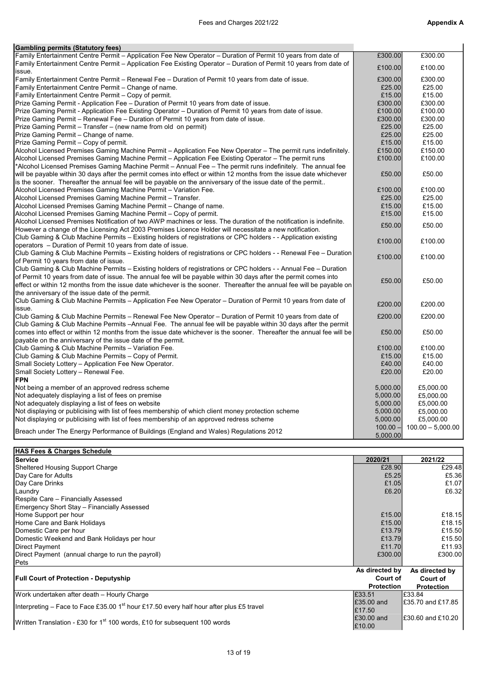| <b>Gambling permits (Statutory fees)</b>                                                                             |            |                     |
|----------------------------------------------------------------------------------------------------------------------|------------|---------------------|
| Family Entertainment Centre Permit - Application Fee New Operator - Duration of Permit 10 years from date of         | £300.00    | £300.00             |
| Family Entertainment Centre Permit – Application Fee Existing Operator – Duration of Permit 10 years from date of    | £100.00    | £100.00             |
| issue.                                                                                                               |            |                     |
| Family Entertainment Centre Permit – Renewal Fee – Duration of Permit 10 years from date of issue.                   | £300.00    | £300.00             |
| Family Entertainment Centre Permit - Change of name.                                                                 | £25.00     | £25.00              |
| Family Entertainment Centre Permit - Copy of permit.                                                                 | £15.00     | £15.00              |
| Prize Gaming Permit - Application Fee – Duration of Permit 10 years from date of issue.                              | £300.00    | £300.00             |
| Prize Gaming Permit - Application Fee Existing Operator – Duration of Permit 10 years from date of issue.            | £100.00    | £100.00             |
| Prize Gaming Permit – Renewal Fee – Duration of Permit 10 years from date of issue.                                  | £300.00    | £300.00             |
| Prize Gaming Permit – Transfer – (new name from old on permit)                                                       | £25.00     | £25.00              |
| Prize Gaming Permit - Change of name.                                                                                | £25.00     | £25.00              |
| Prize Gaming Permit - Copy of permit.                                                                                | £15.00     | £15.00              |
| Alcohol Licensed Premises Gaming Machine Permit – Application Fee New Operator – The permit runs indefinitely.       | £150.00    | £150.00             |
| Alcohol Licensed Premises Gaming Machine Permit – Application Fee Existing Operator – The permit runs                | £100.00    | £100.00             |
| *Alcohol Licensed Premises Gaming Machine Permit – Annual Fee – The permit runs indefinitely. The annual fee         |            |                     |
| will be payable within 30 days after the permit comes into effect or within 12 months from the issue date whichever  | £50.00     | £50.00              |
| is the sooner. Thereafter the annual fee will be payable on the anniversary of the issue date of the permit          |            |                     |
| Alcohol Licensed Premises Gaming Machine Permit - Variation Fee.                                                     | £100.00    | £100.00             |
| Alcohol Licensed Premises Gaming Machine Permit - Transfer.                                                          | £25.00     | £25.00              |
| Alcohol Licensed Premises Gaming Machine Permit - Change of name.                                                    | £15.00     | £15.00              |
| Alcohol Licensed Premises Gaming Machine Permit – Copy of permit.                                                    | £15.00     | £15.00              |
| Alcohol Licensed Premises Notification of two AWP machines or less. The duration of the notification is indefinite.  |            |                     |
| However a change of the Licensing Act 2003 Premises Licence Holder will necessitate a new notification.              | £50.00     | £50.00              |
| Club Gaming & Club Machine Permits - Existing holders of registrations or CPC holders - - Application existing       |            |                     |
| operators – Duration of Permit 10 years from date of issue.                                                          | £100.00    | £100.00             |
| Club Gaming & Club Machine Permits – Existing holders of registrations or CPC holders - - Renewal Fee – Duration     |            |                     |
| of Permit 10 years from date of issue.                                                                               | £100.00    | £100.00             |
| Club Gaming & Club Machine Permits – Existing holders of registrations or CPC holders - - Annual Fee – Duration      |            |                     |
| of Permit 10 years from date of issue. The annual fee will be payable within 30 days after the permit comes into     |            |                     |
| effect or within 12 months from the issue date whichever is the sooner. Thereafter the annual fee will be payable on | £50.00     | £50.00              |
| the anniversary of the issue date of the permit.                                                                     |            |                     |
| Club Gaming & Club Machine Permits – Application Fee New Operator – Duration of Permit 10 years from date of         |            |                     |
| issue.                                                                                                               | £200.00    | £200.00             |
| Club Gaming & Club Machine Permits – Renewal Fee New Operator – Duration of Permit 10 years from date of             | £200.00    | £200.00             |
| Club Gaming & Club Machine Permits - Annual Fee. The annual fee will be payable within 30 days after the permit      |            |                     |
| comes into effect or within 12 months from the issue date whichever is the sooner. Thereafter the annual fee will be | £50.00     | £50.00              |
| payable on the anniversary of the issue date of the permit.                                                          |            |                     |
| Club Gaming & Club Machine Permits - Variation Fee.                                                                  | £100.00    | £100.00             |
| Club Gaming & Club Machine Permits - Copy of Permit.                                                                 | £15.00     | £15.00              |
| Small Society Lottery - Application Fee New Operator.                                                                | £40.00     | £40.00              |
| Small Society Lottery - Renewal Fee.                                                                                 | £20.00     | £20.00              |
| <b>FPN</b>                                                                                                           |            |                     |
| Not being a member of an approved redress scheme                                                                     | 5.000.00   | £5.000.00           |
| Not adequately displaying a list of fees on premise                                                                  | 5,000.00   | £5,000.00           |
| Not adequately displaying a list of fees on website                                                                  | 5,000.00   | £5,000.00           |
| Not displaying or publicising with list of fees membership of which client money protection scheme                   | 5,000.00   | £5,000.00           |
| Not displaying or publicising with list of fees membership of an approved redress scheme                             | 5,000.00   | £5,000.00           |
|                                                                                                                      | $100.00 -$ | $100.00 - 5,000.00$ |
| Breach under The Energy Performance of Buildings (England and Wales) Regulations 2012                                | 5,000.00   |                     |
|                                                                                                                      |            |                     |
| <b>HAS Fees &amp; Charges Schedule</b>                                                                               |            |                     |

| 2020/21           | 2021/22           |
|-------------------|-------------------|
| £28.90            | £29.48            |
| £5.25             | £5.36             |
| £1.05             | £1.07             |
| £6.20             | £6.32             |
|                   |                   |
|                   |                   |
| £15.00            | £18.15            |
| £15.00            | £18.15            |
| £13.79            | £15.50            |
| £13.79            | £15.50            |
| £11.70            | £11.93            |
| £300.00           | £300.00           |
|                   |                   |
| As directed by    | As directed by    |
| Court of          | Court of          |
| <b>Protection</b> | <b>Protection</b> |
| £33.51            | E33.84            |
| £35.00 and        | E35.70 and £17.85 |
| £17.50            |                   |
| E30.00 and        | E30.60 and £10.20 |
| £10.00            |                   |
|                   |                   |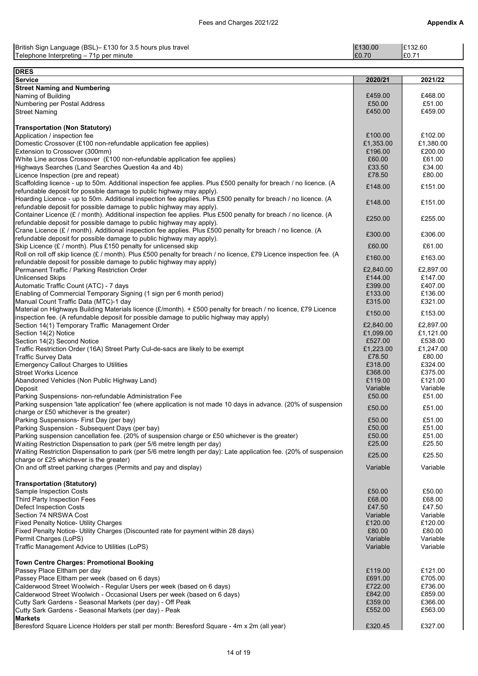| British Sign Language (BSL)– £130 for 3.5 hours plus travel | £130.00 | E132.60 |
|-------------------------------------------------------------|---------|---------|
| Telephone Interpreting - 71p per minute                     | £0.70   | I£0.7   |

| <b>DRES</b>                                                                                                                                                                         |                      |                      |
|-------------------------------------------------------------------------------------------------------------------------------------------------------------------------------------|----------------------|----------------------|
| <b>Service</b>                                                                                                                                                                      | 2020/21              | 2021/22              |
| <b>Street Naming and Numbering</b>                                                                                                                                                  |                      |                      |
| Naming of Building<br>Numbering per Postal Address                                                                                                                                  | £459.00<br>£50.00    | £468.00<br>£51.00    |
| <b>Street Naming</b>                                                                                                                                                                | £450.00              | £459.00              |
|                                                                                                                                                                                     |                      |                      |
| <b>Transportation (Non Statutory)</b>                                                                                                                                               |                      |                      |
| Application / inspection fee                                                                                                                                                        | £100.00              | £102.00              |
| Domestic Crossover (£100 non-refundable application fee applies)                                                                                                                    | £1,353.00            | £1,380.00            |
| Extension to Crossover (300mm)                                                                                                                                                      | £196.00              | £200.00              |
| White Line across Crossover (£100 non-refundable application fee applies)<br>Highways Searches (Land Searches Question 4a and 4b)                                                   | £60.00<br>£33.50     | £61.00<br>£34.00     |
| Licence Inspection (pre and repeat)                                                                                                                                                 | £78.50               | £80.00               |
| Scaffolding licence - up to 50m. Additional inspection fee applies. Plus £500 penalty for breach / no licence. (A                                                                   |                      |                      |
| refundable deposit for possible damage to public highway may apply).                                                                                                                | £148.00              | £151.00              |
| Hoarding Licence - up to 50m. Additional inspection fee applies. Plus £500 penalty for breach / no licence. (A                                                                      | £148.00              | £151.00              |
| refundable deposit for possible damage to public highway may apply).                                                                                                                |                      |                      |
| Container Licence (£ / month). Additional inspection fee applies. Plus £500 penalty for breach / no licence. (A                                                                     | £250.00              | £255.00              |
| refundable deposit for possible damage to public highway may apply).<br>Crane Licence (£ / month). Additional inspection fee applies. Plus £500 penalty for breach / no licence. (A |                      |                      |
| refundable deposit for possible damage to public highway may apply).                                                                                                                | £300.00              | £306.00              |
| Skip Licence (£ / month). Plus £150 penalty for unlicensed skip                                                                                                                     | £60.00               | £61.00               |
| Roll on roll off skip licence (£ / month). Plus £500 penalty for breach / no licence, £79 Licence inspection fee. (A                                                                | £160.00              | £163.00              |
| refundable deposit for possible damage to public highway may apply)                                                                                                                 |                      |                      |
| Permanent Traffic / Parking Restriction Order                                                                                                                                       | £2,840.00            | £2,897.00            |
| <b>Unlicensed Skips</b>                                                                                                                                                             | £144.00<br>£399.00   | £147.00<br>£407.00   |
| Automatic Traffic Count (ATC) - 7 days<br>Enabling of Commercial Temporary Signing (1 sign per 6 month period)                                                                      | £133.00              | £136.00              |
| Manual Count Traffic Data (MTC)-1 day                                                                                                                                               | £315.00              | £321.00              |
| Material on Highways Building Materials licence (£/month). + £500 penalty for breach / no licence, £79 Licence                                                                      |                      |                      |
| inspection fee. (A refundable deposit for possible damage to public highway may apply)                                                                                              | £150.00              | £153.00              |
| Section 14(1) Temporary Traffic Management Order                                                                                                                                    | £2,840.00            | £2,897.00            |
| Section 14(2) Notice                                                                                                                                                                | £1,099.00            | £1,121.00            |
| Section 14(2) Second Notice                                                                                                                                                         | £527.00<br>£1,223.00 | £538.00<br>£1,247.00 |
| Traffic Restriction Order (16A) Street Party Cul-de-sacs are likely to be exempt<br><b>Traffic Survey Data</b>                                                                      | £78.50               | £80.00               |
| <b>Emergency Callout Charges to Utilities</b>                                                                                                                                       | £318.00              | £324.00              |
| <b>Street Works Licence</b>                                                                                                                                                         | £368.00              | £375.00              |
| Abandoned Vehicles (Non Public Highway Land)                                                                                                                                        | £119.00              | £121.00              |
| Deposit                                                                                                                                                                             | Variable             | Variable             |
| Parking Suspensions- non-refundable Administration Fee                                                                                                                              | £50.00               | £51.00               |
| Parking suspension 'late application' fee (where application is not made 10 days in advance. (20% of suspension<br>charge or £50 whichever is the greater)                          | £50.00               | £51.00               |
| Parking Suspensions- First Day (per bay)                                                                                                                                            | £50.00               | £51.00               |
| Parking Suspension - Subsequent Days (per bay)                                                                                                                                      | £50.00               | £51.00               |
| Parking suspension cancellation fee. (20% of suspension charge or £50 whichever is the greater)                                                                                     | £50.00               | £51.00               |
| Waiting Restriction Dispensation to park (per 5/6 metre length per day)                                                                                                             | £25.00               | £25.50               |
| Waiting Restriction Dispensation to park (per 5/6 metre length per day): Late application fee. (20% of suspension                                                                   | £25.00               | £25.50               |
| charge or £25 whichever is the greater)                                                                                                                                             |                      |                      |
| On and off street parking charges (Permits and pay and display)                                                                                                                     | Variable             | Variable             |
| <b>Transportation (Statutory)</b>                                                                                                                                                   |                      |                      |
| Sample Inspection Costs                                                                                                                                                             | £50.00               | £50.00               |
| Third Party Inspection Fees                                                                                                                                                         | £68.00               | £68.00               |
| <b>Defect Inspection Costs</b>                                                                                                                                                      | £47.50               | £47.50               |
| Section 74 NRSWA Cost                                                                                                                                                               | Variable             | Variable             |
| <b>Fixed Penalty Notice- Utility Charges</b>                                                                                                                                        | £120.00              | £120.00              |
| Fixed Penalty Notice- Utility Charges (Discounted rate for payment within 28 days)<br>Permit Charges (LoPS)                                                                         | £80.00<br>Variable   | £80.00<br>Variable   |
| Traffic Management Advice to Utilities (LoPS)                                                                                                                                       | Variable             | Variable             |
|                                                                                                                                                                                     |                      |                      |
| <b>Town Centre Charges: Promotional Booking</b>                                                                                                                                     |                      |                      |
| Passey Place Eltham per day                                                                                                                                                         | £119.00              | £121.00              |
| Passey Place Eltham per week (based on 6 days)                                                                                                                                      | £691.00              | £705.00              |
| Calderwood Street Woolwich - Regular Users per week (based on 6 days)                                                                                                               | £722.00              | £736.00              |
| Calderwood Street Woolwich - Occasional Users per week (based on 6 days)<br>Cutty Sark Gardens - Seasonal Markets (per day) - Off Peak                                              | £842.00<br>£359.00   | £859.00<br>£366.00   |
| Cutty Sark Gardens - Seasonal Markets (per day) - Peak                                                                                                                              | £552.00              | £563.00              |
| <b>Markets</b>                                                                                                                                                                      |                      |                      |
| Beresford Square Licence Holders per stall per month: Beresford Square - 4m x 2m (all year)                                                                                         | £320.45              | £327.00              |
|                                                                                                                                                                                     |                      |                      |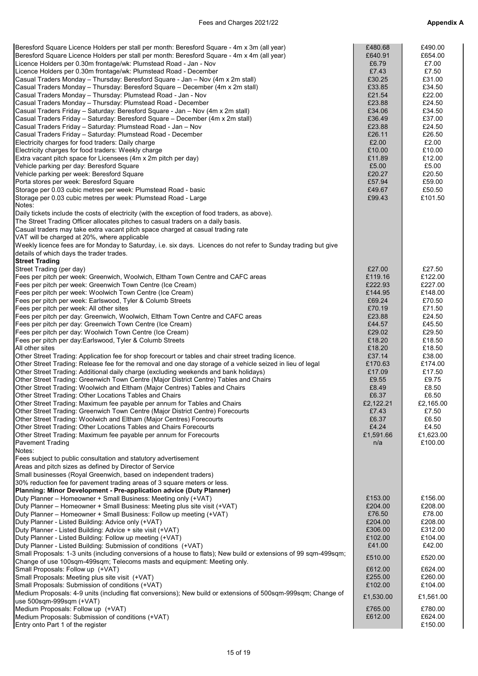| Beresford Square Licence Holders per stall per month: Beresford Square - 4m x 3m (all year)<br>Beresford Square Licence Holders per stall per month: Beresford Square - 4m x 4m (all year)<br>Licence Holders per 0.30m frontage/wk: Plumstead Road - Jan - Nov<br>Licence Holders per 0.30m frontage/wk: Plumstead Road - December<br>Casual Traders Monday - Thursday: Beresford Square - Jan - Nov (4m x 2m stall)<br>Casual Traders Monday - Thursday: Beresford Square - December (4m x 2m stall)<br>Casual Traders Monday - Thursday: Plumstead Road - Jan - Nov<br>Casual Traders Monday - Thursday: Plumstead Road - December<br>Casual Traders Friday - Saturday: Beresford Square - Jan - Nov (4m x 2m stall)<br>Casual Traders Friday - Saturday: Beresford Square - December (4m x 2m stall)<br>Casual Traders Friday - Saturday: Plumstead Road - Jan - Nov<br>Casual Traders Friday - Saturday: Plumstead Road - December<br>Electricity charges for food traders: Daily charge<br>Electricity charges for food traders: Weekly charge<br>Extra vacant pitch space for Licensees (4m x 2m pitch per day)<br>Vehicle parking per day: Beresford Square<br>Vehicle parking per week: Beresford Square<br>Porta stores per week: Beresford Square<br>Storage per 0.03 cubic metres per week: Plumstead Road - basic<br>Storage per 0.03 cubic metres per week: Plumstead Road - Large<br>Notes:<br>Daily tickets include the costs of electricity (with the exception of food traders, as above).<br>The Street Trading Officer allocates pitches to casual traders on a daily basis.<br>Casual traders may take extra vacant pitch space charged at casual trading rate<br>VAT will be charged at 20%, where applicable<br>Weekly licence fees are for Monday to Saturday, i.e. six days. Licences do not refer to Sunday trading but give<br>details of which days the trader trades. | £480.68<br>£640.91<br>£6.79<br>£7.43<br>£30.25<br>£33.85<br>£21.54<br>£23.88<br>£34.06<br>£36.49<br>£23.88<br>£26.11<br>£2.00<br>£10.00<br>£11.89<br>£5.00<br>£20.27<br>£57.94<br>£49.67<br>£99.43                                  | £490.00<br>£654.00<br>£7.00<br>£7.50<br>£31.00<br>£34.50<br>£22.00<br>£24.50<br>£34.50<br>£37.00<br>£24.50<br>£26.50<br>£2.00<br>£10.00<br>£12.00<br>£5.00<br>£20.50<br>£59.00<br>£50.50<br>£101.50                                     |
|----------------------------------------------------------------------------------------------------------------------------------------------------------------------------------------------------------------------------------------------------------------------------------------------------------------------------------------------------------------------------------------------------------------------------------------------------------------------------------------------------------------------------------------------------------------------------------------------------------------------------------------------------------------------------------------------------------------------------------------------------------------------------------------------------------------------------------------------------------------------------------------------------------------------------------------------------------------------------------------------------------------------------------------------------------------------------------------------------------------------------------------------------------------------------------------------------------------------------------------------------------------------------------------------------------------------------------------------------------------------------------------------------------------------------------------------------------------------------------------------------------------------------------------------------------------------------------------------------------------------------------------------------------------------------------------------------------------------------------------------------------------------------------------------------------------------------------------------------------------------------------------------------|-------------------------------------------------------------------------------------------------------------------------------------------------------------------------------------------------------------------------------------|-----------------------------------------------------------------------------------------------------------------------------------------------------------------------------------------------------------------------------------------|
| <b>Street Trading</b><br>Street Trading (per day)<br>Fees per pitch per week: Greenwich, Woolwich, Eltham Town Centre and CAFC areas<br>Fees per pitch per week: Greenwich Town Centre (Ice Cream)<br>Fees per pitch per week: Woolwich Town Centre (Ice Cream)<br>Fees per pitch per week: Earlswood, Tyler & Columb Streets<br>Fees per pitch per week: All other sites<br>Fees per pitch per day: Greenwich, Woolwich, Eltham Town Centre and CAFC areas<br>Fees per pitch per day: Greenwich Town Centre (Ice Cream)<br>Fees per pitch per day: Woolwich Town Centre (Ice Cream)<br>Fees per pitch per day:Earlswood, Tyler & Columb Streets<br>All other sites<br>Other Street Trading: Application fee for shop forecourt or tables and chair street trading licence.<br>Other Street Trading: Release fee for the removal and one day storage of a vehicle seized in lieu of legal<br>Other Street Trading: Additional daily charge (excluding weekends and bank holidays)<br>Other Street Trading: Greenwich Town Centre (Major District Centre) Tables and Chairs<br>Other Street Trading: Woolwich and Eltham (Major Centres) Tables and Chairs<br>Other Street Trading: Other Locations Tables and Chairs<br>Other Street Trading: Maximum fee payable per annum for Tables and Chairs<br>Other Street Trading: Greenwich Town Centre (Major District Centre) Forecourts<br>Other Street Trading: Woolwich and Eltham (Major Centres) Forecourts<br>Other Street Trading: Other Locations Tables and Chairs Forecourts<br>Other Street Trading: Maximum fee payable per annum for Forecourts<br><b>Pavement Trading</b><br>Notes:<br>Fees subject to public consultation and statutory advertisement                                                                                                                                                                                    | £27.00<br>£119.16<br>£222.93<br>£144.95<br>£69.24<br>£70.19<br>£23.88<br>£44.57<br>£29.02<br>£18.20<br>£18.20<br>£37.14<br>£170.63<br>£17.09<br>£9.55<br>£8.49<br>£6.37<br>£2,122.21<br>£7.43<br>£6.37<br>£4.24<br>£1,591.66<br>n/a | £27.50<br>£122.00<br>£227.00<br>£148.00<br>£70.50<br>£71.50<br>£24.50<br>£45.50<br>£29.50<br>£18.50<br>£18.50<br>£38.00<br>£174.00<br>£17.50<br>£9.75<br>£8.50<br>£6.50<br>£2,165.00<br>£7.50<br>£6.50<br>£4.50<br>£1,623.00<br>£100.00 |
| Areas and pitch sizes as defined by Director of Service<br>Small businesses (Royal Greenwich, based on independent traders)<br>30% reduction fee for pavement trading areas of 3 square meters or less.<br>Planning: Minor Development - Pre-application advice (Duty Planner)<br>Duty Planner - Homeowner + Small Business: Meeting only (+VAT)<br>Duty Planner - Homeowner + Small Business: Meeting plus site visit (+VAT)<br>Duty Planner - Homeowner + Small Business: Follow up meeting (+VAT)<br>Duty Planner - Listed Building: Advice only (+VAT)<br>Duty Planner - Listed Building: Advice + site visit (+VAT)<br>Duty Planner - Listed Building: Follow up meeting (+VAT)<br>Duty Planner - Listed Building: Submission of conditions (+VAT)<br>Small Proposals: 1-3 units (including conversions of a house to flats); New build or extensions of 99 sqm-499sqm;<br>Change of use 100sqm-499sqm; Telecoms masts and equipment: Meeting only.<br>Small Proposals: Follow up (+VAT)<br>Small Proposals: Meeting plus site visit (+VAT)<br>Small Proposals: Submission of conditions (+VAT)<br>Medium Proposals: 4-9 units (including flat conversions); New build or extensions of 500sqm-999sqm; Change of<br>use 500sqm-999sqm (+VAT)<br>Medium Proposals: Follow up (+VAT)<br>Medium Proposals: Submission of conditions (+VAT)<br>Entry onto Part 1 of the register                                                                                                                                                                                                                                                                                                                                                                                                                                                                                                                  | £153.00<br>£204.00<br>£76.50<br>£204.00<br>£306.00<br>£102.00<br>£41.00<br>£510.00<br>£612.00<br>£255.00<br>£102.00<br>£1,530.00<br>£765.00<br>£612.00                                                                              | £156.00<br>£208.00<br>£78.00<br>£208.00<br>£312.00<br>£104.00<br>£42.00<br>£520.00<br>£624.00<br>£260.00<br>£104.00<br>£1,561.00<br>£780.00<br>£624.00<br>£150.00                                                                       |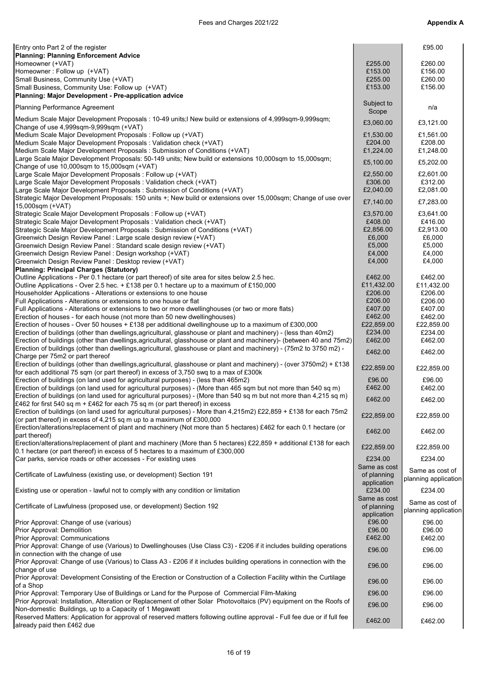| Entry onto Part 2 of the register                                                                                                                                                                                   |                        | £95.00               |
|---------------------------------------------------------------------------------------------------------------------------------------------------------------------------------------------------------------------|------------------------|----------------------|
| <b>Planning: Planning Enforcement Advice</b><br>Homeowner (+VAT)                                                                                                                                                    | £255.00                | £260.00              |
| Homeowner: Follow up (+VAT)                                                                                                                                                                                         | £153.00                | £156.00              |
| Small Business, Community Use (+VAT)                                                                                                                                                                                | £255.00                | £260.00              |
| Small Business, Community Use: Follow up (+VAT)                                                                                                                                                                     | £153.00                | £156.00              |
| Planning: Major Development - Pre-application advice                                                                                                                                                                |                        |                      |
| <b>Planning Performance Agreement</b>                                                                                                                                                                               | Subject to<br>Scope    | n/a                  |
| Medium Scale Major Development Proposals : 10-49 units; New build or extensions of 4,999sqm-9,999sqm;                                                                                                               | £3,060.00              | £3,121.00            |
| Change of use 4,999sqm-9,999sqm (+VAT)<br>Medium Scale Major Development Proposals : Follow up (+VAT)                                                                                                               | £1,530.00              | £1,561.00            |
| Medium Scale Major Development Proposals : Validation check (+VAT)                                                                                                                                                  | £204.00                | £208.00              |
| Medium Scale Major Development Proposals : Submission of Conditions (+VAT)                                                                                                                                          | £1,224.00              | £1,248.00            |
| Large Scale Major Development Proposals: 50-149 units; New build or extensions 10,000sqm to 15,000sqm;                                                                                                              | £5,100.00              | £5,202.00            |
| Change of use 10,000sqm to 15,000sqm (+VAT)                                                                                                                                                                         |                        |                      |
| Large Scale Major Development Proposals : Follow up (+VAT)<br>Large Scale Major Development Proposals: Validation check (+VAT)                                                                                      | £2,550.00<br>£306.00   | £2,601.00<br>£312.00 |
| Large Scale Major Development Proposals : Submission of Conditions (+VAT)                                                                                                                                           | £2,040.00              | £2,081.00            |
| Strategic Major Development Proposals: 150 units +; New build or extensions over 15,000sqm; Change of use over                                                                                                      | £7,140.00              | £7,283.00            |
| 15,000sqm (+VAT)                                                                                                                                                                                                    |                        |                      |
| Strategic Scale Major Development Proposals: Follow up (+VAT)<br>Strategic Scale Major Development Proposals: Validation check (+VAT)                                                                               | £3,570.00<br>£408.00   | £3,641.00<br>£416.00 |
| Strategic Scale Major Development Proposals : Submission of Conditions (+VAT)                                                                                                                                       | £2,856.00              | £2.913.00            |
| Greenwich Design Review Panel : Large scale design review (+VAT)                                                                                                                                                    | £6,000                 | £6.000               |
| Greenwich Design Review Panel: Standard scale design review (+VAT)                                                                                                                                                  | £5,000                 | £5,000               |
| Greenwich Design Review Panel: Design workshop (+VAT)<br>Greenwich Design Review Panel: Desktop review (+VAT)                                                                                                       | £4,000                 | £4,000               |
| <b>Planning: Principal Charges (Statutory)</b>                                                                                                                                                                      | £4,000                 | £4,000               |
| Outline Applications - Per 0.1 hectare (or part thereof) of site area for sites below 2.5 hec.                                                                                                                      | £462.00                | £462.00              |
| Outline Applications - Over 2.5 hec. $+£138$ per 0.1 hectare up to a maximum of £150,000                                                                                                                            | £11,432.00             | £11,432.00           |
| Householder Applications - Alterations or extensions to one house                                                                                                                                                   | £206.00                | £206.00              |
| Full Applications - Alterations or extensions to one house or flat<br>Full Applications - Alterations or extensions to two or more dwellinghouses (or two or more flats)                                            | £206.00<br>£407.00     | £206.00<br>£407.00   |
| Erection of houses - for each house (not more than 50 new dwellinghouses)                                                                                                                                           | £462.00                | £462.00              |
| Erection of houses - Over 50 houses + £138 per additional dwellinghouse up to a maximum of £300,000                                                                                                                 | £22,859.00             | £22,859.00           |
| Erection of buildings (other than dwellings, agricultural, glasshouse or plant and machinery) - (less than 40m2)                                                                                                    | £234.00                | £234.00              |
| [Erection of buildings (other than dwellings, agricultural, glasshouse or plant and machinery)- (between 40 and 75m2)                                                                                               | £462.00                | £462.00              |
| Erection of buildings (other than dwellings, agricultural, glasshouse or plant and machinery) - (75m2 to 3750 m2) -<br>Charge per 75m2 or part thereof                                                              | £462.00                | £462.00              |
| Erection of buildings (other than dwellings,agricultural, glasshouse or plant and machinery) - (over 3750m2) + £138                                                                                                 | £22,859.00             | £22,859.00           |
| for each additional 75 sqm (or part thereof) in excess of 3,750 swq to a max of £300k                                                                                                                               |                        |                      |
| Erection of buildings (on land used for agricultural purposes) - (less than 465m2)<br>[Erection of buildings (on land used for agricultural purposes) - (More than 465 sqm but not more than 540 sq m)              | £96.00<br>£462.00      | £96.00<br>£462.00    |
| Erection of buildings (on land used for agricultural purposes) - (More than 540 sq m but not more than 4,215 sq m)                                                                                                  |                        |                      |
| £462 for first 540 sq m + £462 for each 75 sq m (or part thereof) in excess                                                                                                                                         | £462.00                | £462.00              |
| Erection of buildings (on land used for agricultural purposes) - More than 4,215m2) £22,859 + £138 for each 75m2                                                                                                    | £22,859.00             | £22,859.00           |
| (or part thereof) in excess of 4,215 sq m up to a maximum of £300,000<br>Erection/alterations/replacement of plant and machinery (Not more than 5 hectares) £462 for each 0.1 hectare (or                           |                        |                      |
| part thereof)                                                                                                                                                                                                       | £462.00                | £462.00              |
| Erection/alterations/replacement of plant and machinery (More than 5 hectares) £22,859 + additional £138 for each<br>0.1 hectare (or part thereof) in excess of 5 hectares to a maximum of £300,000                 | £22,859.00             | £22,859.00           |
| Car parks, service roads or other accesses - For existing uses                                                                                                                                                      | £234.00                | £234.00              |
|                                                                                                                                                                                                                     | Same as cost           | Same as cost of      |
| Certificate of Lawfulness (existing use, or development) Section 191                                                                                                                                                | of planning            | planning application |
| Existing use or operation - lawful not to comply with any condition or limitation                                                                                                                                   | application<br>£234.00 | £234.00              |
|                                                                                                                                                                                                                     | Same as cost           | Same as cost of      |
| Certificate of Lawfulness (proposed use, or development) Section 192                                                                                                                                                | of planning            | planning application |
| Prior Approval: Change of use (various)                                                                                                                                                                             | application<br>£96.00  | £96.00               |
| Prior Approval: Demolition                                                                                                                                                                                          | £96.00                 | £96.00               |
| Prior Approval: Communications                                                                                                                                                                                      | £462.00                | £462.00              |
| Prior Approval: Change of use (Various) to Dwellinghouses (Use Class C3) - £206 if it includes building operations                                                                                                  | £96.00                 | £96.00               |
| in connection with the change of use<br>Prior Approval: Change of use (Various) to Class A3 - £206 if it includes building operations in connection with the                                                        |                        |                      |
| change of use                                                                                                                                                                                                       | £96.00                 | £96.00               |
| Prior Approval: Development Consisting of the Erection or Construction of a Collection Facility within the Curtilage                                                                                                | £96.00                 | £96.00               |
| of a Shop                                                                                                                                                                                                           | £96.00                 |                      |
| Prior Approval: Temporary Use of Buildings or Land for the Purpose of Commercial Film-Making<br>Prior Approval: Installation, Alteration or Replacement of other Solar Photovoltaics (PV) equipment on the Roofs of |                        | £96.00               |
| Non-domestic Buildings, up to a Capacity of 1 Megawatt                                                                                                                                                              | £96.00                 | £96.00               |
| Reserved Matters: Application for approval of reserved matters following outline approval - Full fee due or if full fee                                                                                             | £462.00                | £462.00              |
| already paid then £462 due                                                                                                                                                                                          |                        |                      |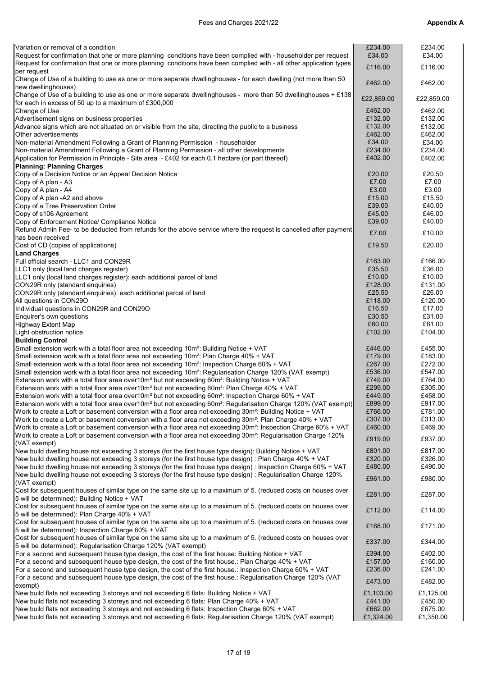# Fees and Charges 2021/22 **Appendix A**

| Variation or removal of a condition                                                                                                                                                                          | £234.00              | £234.00              |
|--------------------------------------------------------------------------------------------------------------------------------------------------------------------------------------------------------------|----------------------|----------------------|
| Request for confirmation that one or more planning conditions have been complied with - householder per request                                                                                              | £34.00               | £34.00               |
| Request for confirmation that one or more planning conditions have been complied with - all other application types                                                                                          | £116.00              | £116.00              |
| per request                                                                                                                                                                                                  |                      |                      |
| Change of Use of a building to use as one or more separate dwellinghouses - for each dwelling (not more than 50                                                                                              | £462.00              | £462.00              |
| new dwellinghouses)                                                                                                                                                                                          |                      |                      |
| Change of Use of a building to use as one or more separate dwellinghouses - more than 50 dwellinghouses + £138                                                                                               | £22,859.00           | £22,859.00           |
| for each in excess of 50 up to a maximum of £300,000                                                                                                                                                         |                      |                      |
| Change of Use                                                                                                                                                                                                | £462.00              | £462.00              |
| Advertisement signs on business properties                                                                                                                                                                   | £132.00              | £132.00              |
| Advance signs which are not situated on or visible from the site, directing the public to a business                                                                                                         | £132.00              | £132.00              |
| Other advertisements                                                                                                                                                                                         | £462.00              | £462.00              |
| Non-material Amendment Following a Grant of Planning Permission - householder                                                                                                                                | £34.00<br>£234.00    | £34.00<br>£234.00    |
| Non-material Amendment Following a Grant of Planning Permission - all other developments                                                                                                                     |                      |                      |
| Application for Permission in Principle - Site area - £402 for each 0.1 hectare (or part thereof)                                                                                                            | £402.00              | £402.00              |
| <b>Planning: Planning Charges</b>                                                                                                                                                                            | £20.00               | £20.50               |
| Copy of a Decision Notice or an Appeal Decision Notice                                                                                                                                                       | £7.00                | £7.00                |
| Copy of A plan - A3                                                                                                                                                                                          |                      |                      |
| Copy of A plan - A4                                                                                                                                                                                          | £3.00                | £3.00                |
| Copy of A plan -A2 and above                                                                                                                                                                                 | £15.00<br>£39.00     | £15.50<br>£40.00     |
| Copy of a Tree Preservation Order                                                                                                                                                                            | £45.00               |                      |
| Copy of s106 Agreement                                                                                                                                                                                       |                      | £46.00               |
| Copy of Enforcement Notice/ Compliance Notice<br>Refund Admin Fee- to be deducted from refunds for the above service where the request is cancelled after payment                                            | £39.00               | £40.00               |
| has been received                                                                                                                                                                                            | £7.00                | £10.00               |
|                                                                                                                                                                                                              | £19.50               | £20.00               |
| Cost of CD (copies of applications)<br><b>Land Charges</b>                                                                                                                                                   |                      |                      |
| Full official search - LLC1 and CON29R                                                                                                                                                                       | £163.00              | £166.00              |
| LLC1 only (local land charges register)                                                                                                                                                                      | £35.50               | £36.00               |
| LLC1 only (local land charges register): each additional parcel of land                                                                                                                                      | £10.00               | £10.00               |
| CON29R only (standard enquiries)                                                                                                                                                                             | £128.00              | £131.00              |
| CON29R only (standard enquiries): each additional parcel of land                                                                                                                                             | £25.50               | £26.00               |
| All questions in CON29O                                                                                                                                                                                      | £118.00              | £120.00              |
| Individual questions in CON29R and CON29O                                                                                                                                                                    | £16.50               | £17.00               |
| Enquirer's own questions                                                                                                                                                                                     | £30.50               | £31.00               |
| <b>Highway Extent Map</b>                                                                                                                                                                                    | £60.00               | £61.00               |
| Light obstruction notice                                                                                                                                                                                     | £102.00              | £104.00              |
| <b>Building Control</b>                                                                                                                                                                                      |                      |                      |
| Small extension work with a total floor area not exceeding 10m <sup>2</sup> : Building Notice + VAT                                                                                                          | £446.00              | £455.00              |
| Small extension work with a total floor area not exceeding 10m <sup>2</sup> : Plan Charge 40% + VAT                                                                                                          | £179.00              | £183.00              |
| Small extension work with a total floor area not exceeding 10m <sup>2</sup> : Inspection Charge 60% + VAT                                                                                                    | £267.00              | £272.00              |
| Small extension work with a total floor area not exceeding 10m <sup>2</sup> : Regularisation Charge 120% (VAT exempt)                                                                                        | £536.00              | £547.00              |
| Extension work with a total floor area over10m <sup>2</sup> but not exceeding 60m <sup>2</sup> : Building Notice + VAT                                                                                       | £749.00              | £764.00              |
| Extension work with a total floor area over10m <sup>2</sup> but not exceeding 60m <sup>2</sup> : Plan Charge 40% + VAT                                                                                       | £299.00              | £305.00              |
| Extension work with a total floor area over10m <sup>2</sup> but not exceeding 60m <sup>2</sup> : Inspection Charge 60% + VAT                                                                                 | £449.00              | £458.00              |
| Extension work with a total floor area over10m <sup>2</sup> but not exceeding 60m <sup>2</sup> : Regularisation Charge 120% (VAT exempt)                                                                     | £899.00              | £917.00              |
| Work to create a Loft or basement conversion with a floor area not exceeding 30m <sup>2</sup> : Building Notice + VAT                                                                                        | £766.00              | £781.00              |
| Work to create a Loft or basement conversion with a floor area not exceeding 30m <sup>2</sup> : Plan Charge 40% + VAT                                                                                        | £307.00              | £313.00              |
| Work to create a Loft or basement conversion with a floor area not exceeding 30m <sup>2</sup> : Inspection Charge 60% + VAT                                                                                  | £460.00              | £469.00              |
| Work to create a Loft or basement conversion with a floor area not exceeding 30m <sup>2</sup> : Regularisation Charge 120%                                                                                   |                      |                      |
| (VAT exempt)                                                                                                                                                                                                 | £919.00              | £937.00              |
| New build dwelling house not exceeding 3 storeys (for the first house type design): Building Notice + VAT                                                                                                    | £801.00              | £817.00              |
| New build dwelling house not exceeding 3 storeys (for the first house type design) : Plan Charge 40% + VAT                                                                                                   | £320.00              | £326.00              |
| New build dwelling house not exceeding 3 storeys (for the first house type design): Inspection Charge 60% + VAT                                                                                              | £480.00              | £490.00              |
| New build dwelling house not exceeding 3 storeys (for the first house type design): Regularisation Charge 120%                                                                                               |                      |                      |
| (VAT exempt)                                                                                                                                                                                                 | £961.00              | £980.00              |
| Cost for subsequent houses of similar type on the same site up to a maximum of 5. (reduced costs on houses over                                                                                              |                      |                      |
| 5 will be determined): Building Notice + VAT                                                                                                                                                                 | £281.00              | £287.00              |
| Cost for subsequent houses of similar type on the same site up to a maximum of 5. (reduced costs on houses over                                                                                              |                      |                      |
| 5 will be determined): Plan Charge 40% + VAT                                                                                                                                                                 | £112.00              | £114.00              |
| Cost for subsequent houses of similar type on the same site up to a maximum of 5. (reduced costs on houses over                                                                                              |                      |                      |
| 5 will be determined): Inspection Charge 60% + VAT                                                                                                                                                           | £168.00              | £171.00              |
| Cost for subsequent houses of similar type on the same site up to a maximum of 5. (reduced costs on houses over                                                                                              |                      |                      |
| 5 will be determined): Regularisation Charge 120% (VAT exempt)                                                                                                                                               | £337.00              | £344.00              |
| For a second and subsequent house type design, the cost of the first house: Building Notice + VAT                                                                                                            | £394.00              | £402.00              |
| For a second and subsequent house type design, the cost of the first house.: Plan Charge 40% + VAT                                                                                                           | £157.00              | £160.00              |
| For a second and subsequent house type design, the cost of the first house.: Inspection Charge 60% + VAT                                                                                                     | £236.00              | £241.00              |
| For a second and subsequent house type design, the cost of the first house.: Regularisation Charge 120% (VAT                                                                                                 | £473.00              | £482.00              |
| exempt)                                                                                                                                                                                                      |                      |                      |
| New build flats not exceeding 3 storeys and not exceeding 6 flats: Building Notice + VAT                                                                                                                     |                      |                      |
|                                                                                                                                                                                                              | £1,103.00            | £1,125.00            |
| New build flats not exceeding 3 storeys and not exceeding 6 flats: Plan Charge 40% + VAT                                                                                                                     | £441.00              | £450.00              |
| New build flats not exceeding 3 storeys and not exceeding 6 flats: Inspection Charge 60% + VAT<br>New build flats not exceeding 3 storeys and not exceeding 6 flats: Regularisation Charge 120% (VAT exempt) | £662.00<br>£1,324.00 | £675.00<br>£1,350.00 |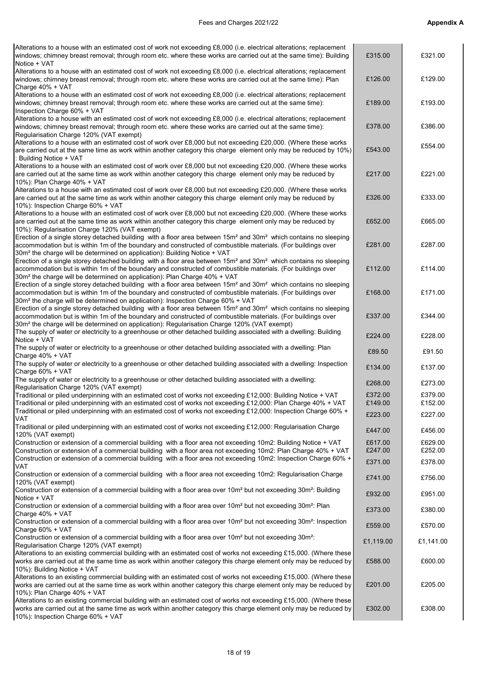| Alterations to a house with an estimated cost of work not exceeding £8,000 (i.e. electrical alterations; replacement<br>windows; chimney breast removal; through room etc. where these works are carried out at the same time): Building<br>Notice + VAT                                                                                                            | £315.00            | £321.00            |
|---------------------------------------------------------------------------------------------------------------------------------------------------------------------------------------------------------------------------------------------------------------------------------------------------------------------------------------------------------------------|--------------------|--------------------|
| Alterations to a house with an estimated cost of work not exceeding £8,000 (i.e. electrical alterations; replacement<br>windows; chimney breast removal; through room etc. where these works are carried out at the same time): Plan                                                                                                                                | £126.00            | £129.00            |
| Charge 40% + VAT<br>Alterations to a house with an estimated cost of work not exceeding £8,000 (i.e. electrical alterations; replacement<br>windows; chimney breast removal; through room etc. where these works are carried out at the same time):<br>Inspection Charge 60% + VAT                                                                                  | £189.00            | £193.00            |
| Alterations to a house with an estimated cost of work not exceeding £8,000 (i.e. electrical alterations; replacement<br>windows; chimney breast removal; through room etc. where these works are carried out at the same time):<br>Regularisation Charge 120% (VAT exempt)                                                                                          | £378.00            | £386.00            |
| Alterations to a house with an estimated cost of work over £8,000 but not exceeding £20,000. (Where these works<br>are carried out at the same time as work within another category this charge element only may be reduced by 10%)<br>Building Notice + VAT                                                                                                        | £543.00            | £554.00            |
| Alterations to a house with an estimated cost of work over £8,000 but not exceeding £20,000. (Where these works<br>are carried out at the same time as work within another category this charge element only may be reduced by<br>10%): Plan Charge 40% + VAT                                                                                                       | £217.00            | £221.00            |
| Alterations to a house with an estimated cost of work over £8,000 but not exceeding £20,000. (Where these works<br>are carried out at the same time as work within another category this charge element only may be reduced by<br>10%): Inspection Charge 60% + VAT                                                                                                 | £326.00            | £333.00            |
| Alterations to a house with an estimated cost of work over £8,000 but not exceeding £20,000. (Where these works<br>are carried out at the same time as work within another category this charge element only may be reduced by<br>10%): Regularisation Charge 120% (VAT exempt)                                                                                     | £652.00            | £665.00            |
| Erection of a single storey detached building with a floor area between 15m <sup>2</sup> and 30m <sup>2</sup> which contains no sleeping<br>accommodation but is within 1m of the boundary and constructed of combustible materials. (For buildings over<br>30m <sup>2</sup> the charge will be determined on application): Building Notice + VAT                   | £281.00            | £287.00            |
| Erection of a single storey detached building with a floor area between 15m <sup>2</sup> and 30m <sup>2</sup> which contains no sleeping<br>accommodation but is within 1m of the boundary and constructed of combustible materials. (For buildings over<br>30m <sup>2</sup> the charge will be determined on application): Plan Charge 40% + VAT                   | £112.00            | £114.00            |
| Erection of a single storey detached building with a floor area between 15m <sup>2</sup> and 30m <sup>2</sup> which contains no sleeping<br>accommodation but is within 1m of the boundary and constructed of combustible materials. (For buildings over<br>30m <sup>2</sup> the charge will be determined on application): Inspection Charge 60% + VAT             | £168.00            | £171.00            |
| Erection of a single storey detached building with a floor area between 15m <sup>2</sup> and 30m <sup>2</sup> which contains no sleeping<br>accommodation but is within 1m of the boundary and constructed of combustible materials. (For buildings over<br>30m <sup>2</sup> the charge will be determined on application): Regularisation Charge 120% (VAT exempt) | £337.00            | £344.00            |
| The supply of water or electricity to a greenhouse or other detached building associated with a dwelling: Building<br>Notice + VAT                                                                                                                                                                                                                                  | £224.00            | £228.00            |
| The supply of water or electricity to a greenhouse or other detached building associated with a dwelling: Plan<br>Charge 40% + VAT                                                                                                                                                                                                                                  | £89.50             | £91.50             |
| The supply of water or electricity to a greenhouse or other detached building associated with a dwelling: Inspection<br>Charge 60% + VAT                                                                                                                                                                                                                            | £134.00            | £137.00            |
| The supply of water or electricity to a greenhouse or other detached building associated with a dwelling:<br>Regularisation Charge 120% (VAT exempt)                                                                                                                                                                                                                | £268.00            | £273.00            |
| Traditional or piled underpinning with an estimated cost of works not exceeding £12,000: Building Notice + VAT                                                                                                                                                                                                                                                      | £372.00            | £379.00            |
| Traditional or piled underpinning with an estimated cost of works not exceeding £12,000: Plan Charge 40% + VAT<br>Traditional or piled underpinning with an estimated cost of works not exceeding £12,000: Inspection Charge 60% +                                                                                                                                  | £149.00            | £152.00            |
| VAT                                                                                                                                                                                                                                                                                                                                                                 | £223.00            | £227.00            |
| Traditional or piled underpinning with an estimated cost of works not exceeding £12,000: Regularisation Charge<br>120% (VAT exempt)                                                                                                                                                                                                                                 | £447.00            | £456.00            |
| Construction or extension of a commercial building with a floor area not exceeding 10m2: Building Notice + VAT                                                                                                                                                                                                                                                      | £617.00<br>£247.00 | £629.00            |
| Construction or extension of a commercial building with a floor area not exceeding 10m2: Plan Charge 40% + VAT<br>Construction or extension of a commercial building with a floor area not exceeding 10m2: Inspection Charge 60% +                                                                                                                                  |                    | £252.00<br>£378.00 |
| VAT<br>Construction or extension of a commercial building with a floor area not exceeding 10m2: Regularisation Charge                                                                                                                                                                                                                                               | £371.00            |                    |
| 120% (VAT exempt)                                                                                                                                                                                                                                                                                                                                                   | £741.00            | £756.00            |
| Construction or extension of a commercial building with a floor area over 10m <sup>2</sup> but not exceeding 30m <sup>2</sup> : Building<br>Notice + VAT                                                                                                                                                                                                            | £932.00            | £951.00            |
| Construction or extension of a commercial building with a floor area over 10m <sup>2</sup> but not exceeding 30m <sup>2</sup> : Plan<br>Charge 40% + VAT                                                                                                                                                                                                            | £373.00            | £380.00            |
| Construction or extension of a commercial building with a floor area over 10m <sup>2</sup> but not exceeding 30m <sup>2</sup> : Inspection                                                                                                                                                                                                                          | £559.00            | £570.00            |
| Charge 60% + VAT<br>Construction or extension of a commercial building with a floor area over 10m <sup>2</sup> but not exceeding 30m <sup>2</sup> :                                                                                                                                                                                                                 |                    |                    |
| Regularisation Charge 120% (VAT exempt)                                                                                                                                                                                                                                                                                                                             | £1,119.00          | £1,141.00          |
| Alterations to an existing commercial building with an estimated cost of works not exceeding £15,000. (Where these<br>works are carried out at the same time as work within another category this charge element only may be reduced by<br>10%): Building Notice + VAT                                                                                              | £588.00            | £600.00            |
| Alterations to an existing commercial building with an estimated cost of works not exceeding £15,000. (Where these<br>works are carried out at the same time as work within another category this charge element only may be reduced by<br>10%): Plan Charge 40% + VAT                                                                                              | £201.00            | £205.00            |
| Alterations to an existing commercial building with an estimated cost of works not exceeding £15,000. (Where these<br>works are carried out at the same time as work within another category this charge element only may be reduced by<br>10%): Inspection Charge 60% + VAT                                                                                        | £302.00            | £308.00            |